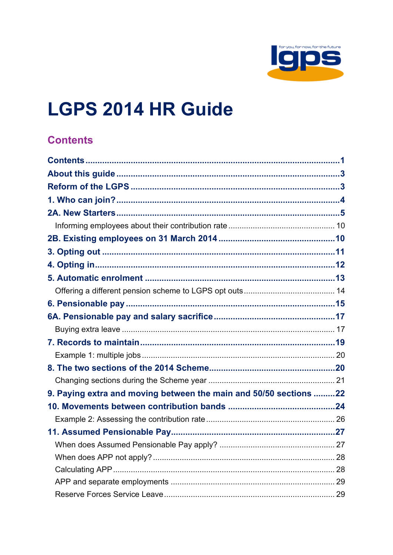

# **LGPS 2014 HR Guide**

# <span id="page-0-0"></span>**Contents**

| 9. Paying extra and moving between the main and 50/50 sections 22 |  |
|-------------------------------------------------------------------|--|
|                                                                   |  |
|                                                                   |  |
|                                                                   |  |
|                                                                   |  |
|                                                                   |  |
|                                                                   |  |
|                                                                   |  |
|                                                                   |  |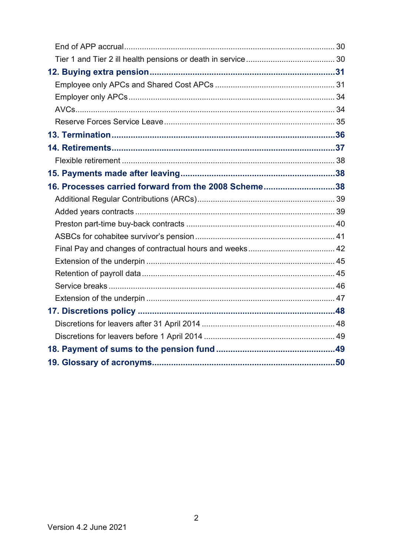| 16. Processes carried forward from the 2008 Scheme38 |  |  |  |
|------------------------------------------------------|--|--|--|
|                                                      |  |  |  |
|                                                      |  |  |  |
|                                                      |  |  |  |
|                                                      |  |  |  |
|                                                      |  |  |  |
|                                                      |  |  |  |
|                                                      |  |  |  |
|                                                      |  |  |  |
|                                                      |  |  |  |
|                                                      |  |  |  |
|                                                      |  |  |  |
|                                                      |  |  |  |
|                                                      |  |  |  |
|                                                      |  |  |  |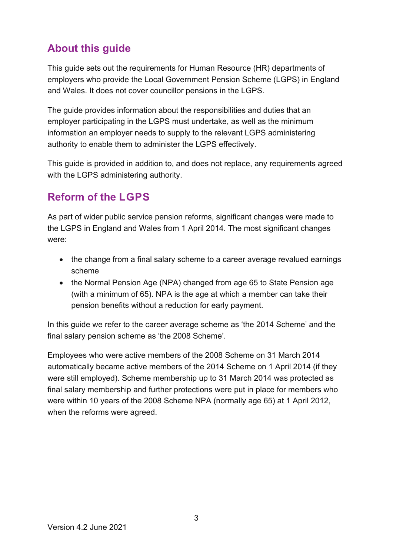# <span id="page-2-0"></span>**About this guide**

This guide sets out the requirements for Human Resource (HR) departments of employers who provide the Local Government Pension Scheme (LGPS) in England and Wales. It does not cover councillor pensions in the LGPS.

The guide provides information about the responsibilities and duties that an employer participating in the LGPS must undertake, as well as the minimum information an employer needs to supply to the relevant LGPS administering authority to enable them to administer the LGPS effectively.

This guide is provided in addition to, and does not replace, any requirements agreed with the LGPS administering authority.

# <span id="page-2-1"></span>**Reform of the LGPS**

As part of wider public service pension reforms, significant changes were made to the LGPS in England and Wales from 1 April 2014. The most significant changes were:

- the change from a final salary scheme to a career average revalued earnings scheme
- the Normal Pension Age (NPA) changed from age 65 to State Pension age (with a minimum of 65). NPA is the age at which a member can take their pension benefits without a reduction for early payment.

In this guide we refer to the career average scheme as 'the 2014 Scheme' and the final salary pension scheme as 'the 2008 Scheme'.

Employees who were active members of the 2008 Scheme on 31 March 2014 automatically became active members of the 2014 Scheme on 1 April 2014 (if they were still employed). Scheme membership up to 31 March 2014 was protected as final salary membership and further protections were put in place for members who were within 10 years of the 2008 Scheme NPA (normally age 65) at 1 April 2012, when the reforms were agreed.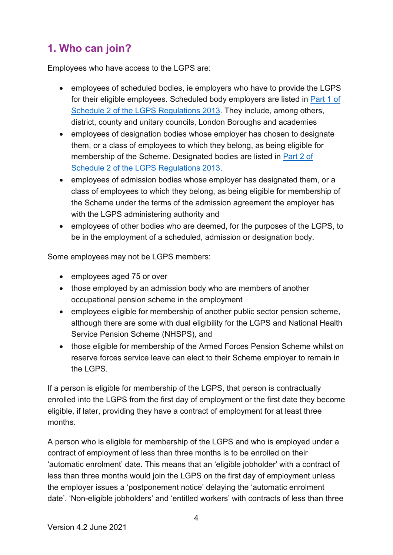# <span id="page-3-0"></span>**1. Who can join?**

Employees who have access to the LGPS are:

- employees of scheduled bodies, ie employers who have to provide the LGPS for their eligible employees. Scheduled body employers are listed in [Part 1 of](http://www.lgpsregs.org/schemeregs/lgpsregs2013/timeline.php#s2p1)  [Schedule 2 of the LGPS Regulations 2013.](http://www.lgpsregs.org/schemeregs/lgpsregs2013/timeline.php#s2p1) They include, among others, district, county and unitary councils, London Boroughs and academies
- employees of designation bodies whose employer has chosen to designate them, or a class of employees to which they belong, as being eligible for membership of the Scheme. Designated bodies are listed in [Part 2 of](http://www.lgpsregs.org/schemeregs/lgpsregs2013/timeline.php#s2p2)  [Schedule 2 of the LGPS Regulations 2013.](http://www.lgpsregs.org/schemeregs/lgpsregs2013/timeline.php#s2p2)
- employees of admission bodies whose employer has designated them, or a class of employees to which they belong, as being eligible for membership of the Scheme under the terms of the admission agreement the employer has with the LGPS administering authority and
- employees of other bodies who are deemed, for the purposes of the LGPS, to be in the employment of a scheduled, admission or designation body.

Some employees may not be LGPS members:

- employees aged 75 or over
- those employed by an admission body who are members of another occupational pension scheme in the employment
- employees eligible for membership of another public sector pension scheme, although there are some with dual eligibility for the LGPS and National Health Service Pension Scheme (NHSPS), and
- those eligible for membership of the Armed Forces Pension Scheme whilst on reserve forces service leave can elect to their Scheme employer to remain in the LGPS.

If a person is eligible for membership of the LGPS, that person is contractually enrolled into the LGPS from the first day of employment or the first date they become eligible, if later, providing they have a contract of employment for at least three months.

A person who is eligible for membership of the LGPS and who is employed under a contract of employment of less than three months is to be enrolled on their 'automatic enrolment' date. This means that an 'eligible jobholder' with a contract of less than three months would join the LGPS on the first day of employment unless the employer issues a 'postponement notice' delaying the 'automatic enrolment date'. 'Non-eligible jobholders' and 'entitled workers' with contracts of less than three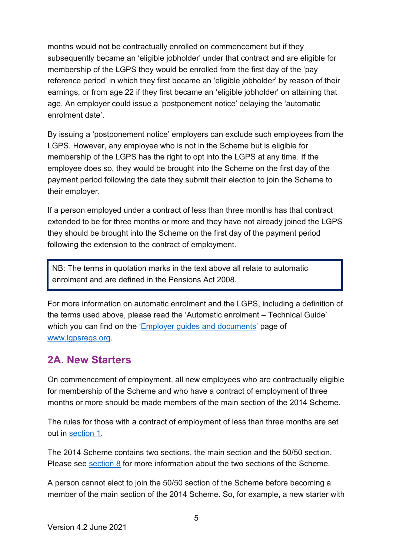months would not be contractually enrolled on commencement but if they subsequently became an 'eligible jobholder' under that contract and are eligible for membership of the LGPS they would be enrolled from the first day of the 'pay reference period' in which they first became an 'eligible jobholder' by reason of their earnings, or from age 22 if they first became an 'eligible jobholder' on attaining that age. An employer could issue a 'postponement notice' delaying the 'automatic enrolment date'.

By issuing a 'postponement notice' employers can exclude such employees from the LGPS. However, any employee who is not in the Scheme but is eligible for membership of the LGPS has the right to opt into the LGPS at any time. If the employee does so, they would be brought into the Scheme on the first day of the payment period following the date they submit their election to join the Scheme to their employer.

If a person employed under a contract of less than three months has that contract extended to be for three months or more and they have not already joined the LGPS they should be brought into the Scheme on the first day of the payment period following the extension to the contract of employment.

NB: The terms in quotation marks in the text above all relate to automatic enrolment and are defined in the Pensions Act 2008.

For more information on automatic enrolment and the LGPS, including a definition of the terms used above, please read the 'Automatic enrolment – Technical Guide' which you can find on the ['Employer guides and documents'](https://www.lgpsregs.org/employer-resources/guidesetc.php) page of [www.lgpsregs.org.](http://www.lgpsregs.org/)

### <span id="page-4-0"></span>**2A. New Starters**

On commencement of employment, all new employees who are contractually eligible for membership of the Scheme and who have a contract of employment of three months or more should be made members of the main section of the 2014 Scheme.

The rules for those with a contract of employment of less than three months are set out in [section 1.](#page-3-0)

The 2014 Scheme contains two sections, the main section and the 50/50 section. Please see [section 8](#page-19-1) for more information about the two sections of the Scheme.

A person cannot elect to join the 50/50 section of the Scheme before becoming a member of the main section of the 2014 Scheme. So, for example, a new starter with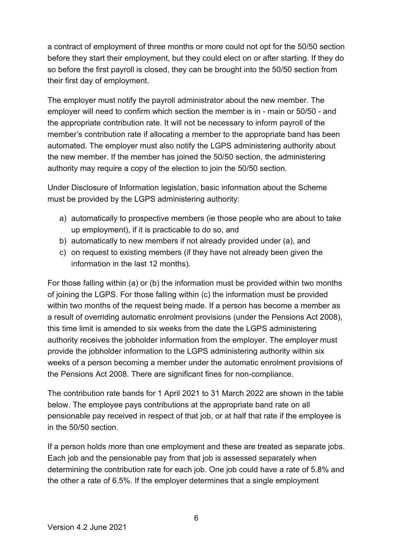a contract of employment of three months or more could not opt for the 50/50 section before they start their employment, but they could elect on or after starting. If they do so before the first payroll is closed, they can be brought into the 50/50 section from their first day of employment.

The employer must notify the payroll administrator about the new member. The employer will need to confirm which section the member is in - main or 50/50 - and the appropriate contribution rate. It will not be necessary to inform payroll of the member's contribution rate if allocating a member to the appropriate band has been automated. The employer must also notify the LGPS administering authority about the new member. If the member has joined the 50/50 section, the administering authority may require a copy of the election to join the 50/50 section.

Under Disclosure of Information legislation, basic information about the Scheme must be provided by the LGPS administering authority:

- a) automatically to prospective members (ie those people who are about to take up employment), if it is practicable to do so, and
- b) automatically to new members if not already provided under (a), and
- c) on request to existing members (if they have not already been given the information in the last 12 months).

For those falling within (a) or (b) the information must be provided within two months of joining the LGPS. For those falling within (c) the information must be provided within two months of the request being made. If a person has become a member as a result of overriding automatic enrolment provisions (under the Pensions Act 2008), this time limit is amended to six weeks from the date the LGPS administering authority receives the jobholder information from the employer. The employer must provide the jobholder information to the LGPS administering authority within six weeks of a person becoming a member under the automatic enrolment provisions of the Pensions Act 2008. There are significant fines for non-compliance.

The contribution rate bands for 1 April 2021 to 31 March 2022 are shown in the table below. The employee pays contributions at the appropriate band rate on all pensionable pay received in respect of that job, or at half that rate if the employee is in the 50/50 section.

If a person holds more than one employment and these are treated as separate jobs. Each job and the pensionable pay from that job is assessed separately when determining the contribution rate for each job. One job could have a rate of 5.8% and the other a rate of 6.5%. If the employer determines that a single employment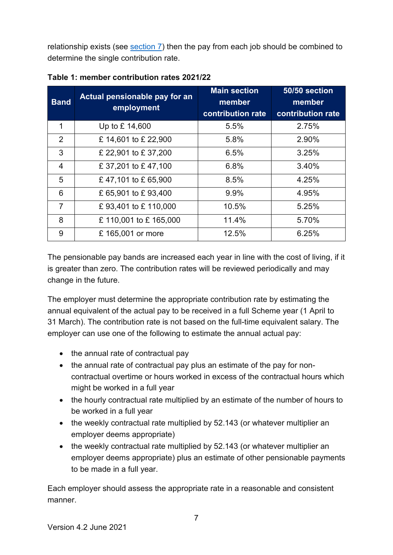relationship exists (see [section 7\)](#page-18-0) then the pay from each job should be combined to determine the single contribution rate.

| <b>Band</b>    | Actual pensionable pay for an<br>employment | <b>Main section</b><br>member<br>contribution rate | 50/50 section<br>member<br>contribution rate |
|----------------|---------------------------------------------|----------------------------------------------------|----------------------------------------------|
| 1              | Up to £ 14,600                              | 5.5%                                               | 2.75%                                        |
| 2              | £14,601 to £22,900                          | 5.8%                                               | 2.90%                                        |
| 3              | £ 22,901 to £ 37,200                        | 6.5%                                               | 3.25%                                        |
| $\overline{4}$ | £ 37,201 to £ 47,100                        | 6.8%                                               | 3.40%                                        |
| 5              | £47,101 to £65,900                          | 8.5%                                               | 4.25%                                        |
| 6              | £65,901 to £93,400                          | 9.9%                                               | 4.95%                                        |
| $\overline{7}$ | £93,401 to £110,000                         | 10.5%                                              | 5.25%                                        |
| 8              | £110,001 to £165,000                        | 11.4%                                              | 5.70%                                        |
| 9              | £ 165,001 or more                           | 12.5%                                              | 6.25%                                        |

**Table 1: member contribution rates 2021/22**

The pensionable pay bands are increased each year in line with the cost of living, if it is greater than zero. The contribution rates will be reviewed periodically and may change in the future.

The employer must determine the appropriate contribution rate by estimating the annual equivalent of the actual pay to be received in a full Scheme year (1 April to 31 March). The contribution rate is not based on the full-time equivalent salary. The employer can use one of the following to estimate the annual actual pay:

- the annual rate of contractual pay
- the annual rate of contractual pay plus an estimate of the pay for noncontractual overtime or hours worked in excess of the contractual hours which might be worked in a full year
- the hourly contractual rate multiplied by an estimate of the number of hours to be worked in a full year
- the weekly contractual rate multiplied by 52.143 (or whatever multiplier an employer deems appropriate)
- the weekly contractual rate multiplied by 52.143 (or whatever multiplier an employer deems appropriate) plus an estimate of other pensionable payments to be made in a full year.

Each employer should assess the appropriate rate in a reasonable and consistent manner.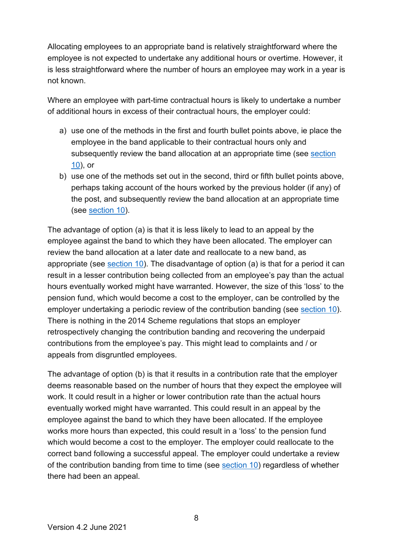Allocating employees to an appropriate band is relatively straightforward where the employee is not expected to undertake any additional hours or overtime. However, it is less straightforward where the number of hours an employee may work in a year is not known.

Where an employee with part-time contractual hours is likely to undertake a number of additional hours in excess of their contractual hours, the employer could:

- a) use one of the methods in the first and fourth bullet points above, ie place the employee in the band applicable to their contractual hours only and subsequently review the band allocation at an appropriate time (see section [10\)](#page-23-0), or
- b) use one of the methods set out in the second, third or fifth bullet points above, perhaps taking account of the hours worked by the previous holder (if any) of the post, and subsequently review the band allocation at an appropriate time (see [section 10\)](#page-23-0).

The advantage of option (a) is that it is less likely to lead to an appeal by the employee against the band to which they have been allocated. The employer can review the band allocation at a later date and reallocate to a new band, as appropriate (see [section 10\)](#page-23-0). The disadvantage of option (a) is that for a period it can result in a lesser contribution being collected from an employee's pay than the actual hours eventually worked might have warranted. However, the size of this 'loss' to the pension fund, which would become a cost to the employer, can be controlled by the employer undertaking a periodic review of the contribution banding (see [section 10\)](#page-23-0). There is nothing in the 2014 Scheme regulations that stops an employer retrospectively changing the contribution banding and recovering the underpaid contributions from the employee's pay. This might lead to complaints and / or appeals from disgruntled employees.

The advantage of option (b) is that it results in a contribution rate that the employer deems reasonable based on the number of hours that they expect the employee will work. It could result in a higher or lower contribution rate than the actual hours eventually worked might have warranted. This could result in an appeal by the employee against the band to which they have been allocated. If the employee works more hours than expected, this could result in a 'loss' to the pension fund which would become a cost to the employer. The employer could reallocate to the correct band following a successful appeal. The employer could undertake a review of the contribution banding from time to time (see [section 10\)](#page-23-0) regardless of whether there had been an appeal.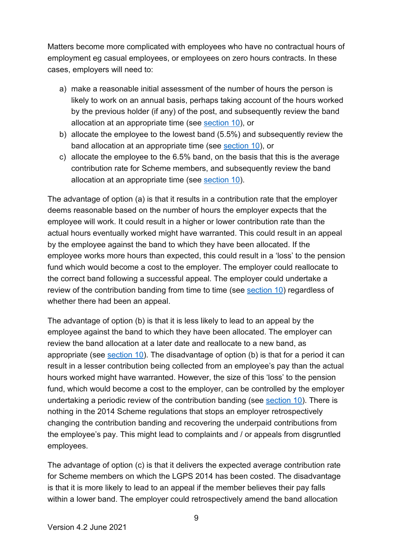Matters become more complicated with employees who have no contractual hours of employment eg casual employees, or employees on zero hours contracts. In these cases, employers will need to:

- a) make a reasonable initial assessment of the number of hours the person is likely to work on an annual basis, perhaps taking account of the hours worked by the previous holder (if any) of the post, and subsequently review the band allocation at an appropriate time (see [section 10\)](#page-23-0), or
- b) allocate the employee to the lowest band (5.5%) and subsequently review the band allocation at an appropriate time (see [section 10\)](#page-23-0), or
- c) allocate the employee to the 6.5% band, on the basis that this is the average contribution rate for Scheme members, and subsequently review the band allocation at an appropriate time (see [section 10\)](#page-23-0).

The advantage of option (a) is that it results in a contribution rate that the employer deems reasonable based on the number of hours the employer expects that the employee will work. It could result in a higher or lower contribution rate than the actual hours eventually worked might have warranted. This could result in an appeal by the employee against the band to which they have been allocated. If the employee works more hours than expected, this could result in a 'loss' to the pension fund which would become a cost to the employer. The employer could reallocate to the correct band following a successful appeal. The employer could undertake a review of the contribution banding from time to time (see [section](#page-23-0) 10) regardless of whether there had been an appeal.

The advantage of option (b) is that it is less likely to lead to an appeal by the employee against the band to which they have been allocated. The employer can review the band allocation at a later date and reallocate to a new band, as appropriate (see [section 10\)](#page-23-0). The disadvantage of option (b) is that for a period it can result in a lesser contribution being collected from an employee's pay than the actual hours worked might have warranted. However, the size of this 'loss' to the pension fund, which would become a cost to the employer, can be controlled by the employer undertaking a periodic review of the contribution banding (see [section 10\)](#page-23-0). There is nothing in the 2014 Scheme regulations that stops an employer retrospectively changing the contribution banding and recovering the underpaid contributions from the employee's pay. This might lead to complaints and / or appeals from disgruntled employees.

The advantage of option (c) is that it delivers the expected average contribution rate for Scheme members on which the LGPS 2014 has been costed. The disadvantage is that it is more likely to lead to an appeal if the member believes their pay falls within a lower band. The employer could retrospectively amend the band allocation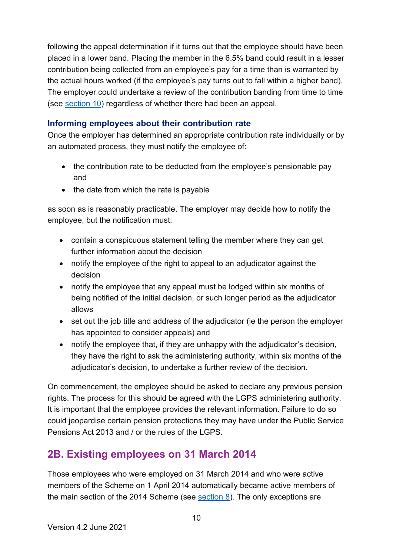following the appeal determination if it turns out that the employee should have been placed in a lower band. Placing the member in the 6.5% band could result in a lesser contribution being collected from an employee's pay for a time than is warranted by the actual hours worked (if the employee's pay turns out to fall within a higher band). The employer could undertake a review of the contribution banding from time to time (see [section 10\)](#page-23-0) regardless of whether there had been an appeal.

#### <span id="page-9-0"></span>**Informing employees about their contribution rate**

Once the employer has determined an appropriate contribution rate individually or by an automated process, they must notify the employee of:

- the contribution rate to be deducted from the employee's pensionable pay and
- the date from which the rate is payable

as soon as is reasonably practicable. The employer may decide how to notify the employee, but the notification must:

- contain a conspicuous statement telling the member where they can get further information about the decision
- notify the employee of the right to appeal to an adjudicator against the decision
- notify the employee that any appeal must be lodged within six months of being notified of the initial decision, or such longer period as the adjudicator allows
- set out the job title and address of the adjudicator (ie the person the employer has appointed to consider appeals) and
- notify the employee that, if they are unhappy with the adjudicator's decision, they have the right to ask the administering authority, within six months of the adjudicator's decision, to undertake a further review of the decision.

On commencement, the employee should be asked to declare any previous pension rights. The process for this should be agreed with the LGPS administering authority. It is important that the employee provides the relevant information. Failure to do so could jeopardise certain pension protections they may have under the Public Service Pensions Act 2013 and / or the rules of the LGPS.

### <span id="page-9-1"></span>**2B. Existing employees on 31 March 2014**

Those employees who were employed on 31 March 2014 and who were active members of the Scheme on 1 April 2014 automatically became active members of the main section of the 2014 Scheme (see  $section 8$ ). The only exceptions are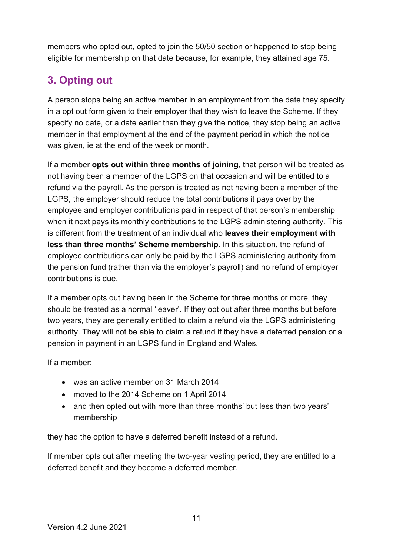members who opted out, opted to join the 50/50 section or happened to stop being eligible for membership on that date because, for example, they attained age 75.

# <span id="page-10-0"></span>**3. Opting out**

A person stops being an active member in an employment from the date they specify in a opt out form given to their employer that they wish to leave the Scheme. If they specify no date, or a date earlier than they give the notice, they stop being an active member in that employment at the end of the payment period in which the notice was given, ie at the end of the week or month.

If a member **opts out within three months of joining**, that person will be treated as not having been a member of the LGPS on that occasion and will be entitled to a refund via the payroll. As the person is treated as not having been a member of the LGPS, the employer should reduce the total contributions it pays over by the employee and employer contributions paid in respect of that person's membership when it next pays its monthly contributions to the LGPS administering authority. This is different from the treatment of an individual who **leaves their employment with less than three months' Scheme membership**. In this situation, the refund of employee contributions can only be paid by the LGPS administering authority from the pension fund (rather than via the employer's payroll) and no refund of employer contributions is due.

If a member opts out having been in the Scheme for three months or more, they should be treated as a normal 'leaver'. If they opt out after three months but before two years, they are generally entitled to claim a refund via the LGPS administering authority. They will not be able to claim a refund if they have a deferred pension or a pension in payment in an LGPS fund in England and Wales.

If a member:

- was an active member on 31 March 2014
- moved to the 2014 Scheme on 1 April 2014
- and then opted out with more than three months' but less than two years' membership

they had the option to have a deferred benefit instead of a refund.

If member opts out after meeting the two-year vesting period, they are entitled to a deferred benefit and they become a deferred member.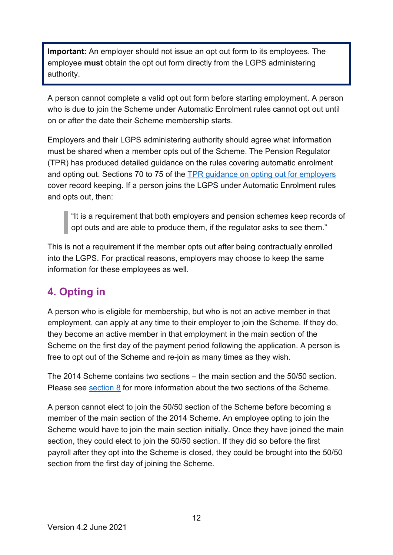**Important:** An employer should not issue an opt out form to its employees. The employee **must** obtain the opt out form directly from the LGPS administering authority.

A person cannot complete a valid opt out form before starting employment. A person who is due to join the Scheme under Automatic Enrolment rules cannot opt out until on or after the date their Scheme membership starts.

Employers and their LGPS administering authority should agree what information must be shared when a member opts out of the Scheme. The Pension Regulator (TPR) has produced detailed guidance on the rules covering automatic enrolment and opting out. Sections 70 to 75 of the [TPR guidance on opting out for employers](https://www.thepensionsregulator.gov.uk/-/media/thepensionsregulator/files/import/pdf/detailed-guidance-7.ashx) cover record keeping. If a person joins the LGPS under Automatic Enrolment rules and opts out, then:

"It is a requirement that both employers and pension schemes keep records of opt outs and are able to produce them, if the regulator asks to see them."

This is not a requirement if the member opts out after being contractually enrolled into the LGPS. For practical reasons, employers may choose to keep the same information for these employees as well.

# <span id="page-11-0"></span>**4. Opting in**

A person who is eligible for membership, but who is not an active member in that employment, can apply at any time to their employer to join the Scheme. If they do, they become an active member in that employment in the main section of the Scheme on the first day of the payment period following the application. A person is free to opt out of the Scheme and re-join as many times as they wish.

The 2014 Scheme contains two sections – the main section and the 50/50 section. Please see [section 8](#page-19-1) for more information about the two sections of the Scheme.

A person cannot elect to join the 50/50 section of the Scheme before becoming a member of the main section of the 2014 Scheme. An employee opting to join the Scheme would have to join the main section initially. Once they have joined the main section, they could elect to join the 50/50 section. If they did so before the first payroll after they opt into the Scheme is closed, they could be brought into the 50/50 section from the first day of joining the Scheme.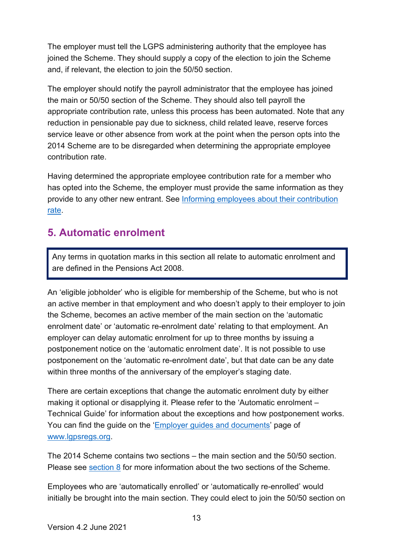The employer must tell the LGPS administering authority that the employee has joined the Scheme. They should supply a copy of the election to join the Scheme and, if relevant, the election to join the 50/50 section.

The employer should notify the payroll administrator that the employee has joined the main or 50/50 section of the Scheme. They should also tell payroll the appropriate contribution rate, unless this process has been automated. Note that any reduction in pensionable pay due to sickness, child related leave, reserve forces service leave or other absence from work at the point when the person opts into the 2014 Scheme are to be disregarded when determining the appropriate employee contribution rate.

Having determined the appropriate employee contribution rate for a member who has opted into the Scheme, the employer must provide the same information as they provide to any other new entrant. See [Informing employees about their contribution](#page-9-0)  [rate.](#page-9-0)

### <span id="page-12-0"></span>**5. Automatic enrolment**

Any terms in quotation marks in this section all relate to automatic enrolment and are defined in the Pensions Act 2008.

An 'eligible jobholder' who is eligible for membership of the Scheme, but who is not an active member in that employment and who doesn't apply to their employer to join the Scheme, becomes an active member of the main section on the 'automatic enrolment date' or 'automatic re-enrolment date' relating to that employment. An employer can delay automatic enrolment for up to three months by issuing a postponement notice on the 'automatic enrolment date'. It is not possible to use postponement on the 'automatic re-enrolment date', but that date can be any date within three months of the anniversary of the employer's staging date.

There are certain exceptions that change the automatic enrolment duty by either making it optional or disapplying it. Please refer to the 'Automatic enrolment – Technical Guide' for information about the exceptions and how postponement works. You can find the guide on the ['Employer guides and documents'](https://www.lgpsregs.org/employer-resources/guidesetc.php) page of [www.lgpsregs.org.](http://www.lgpsregs.org/)

The 2014 Scheme contains two sections – the main section and the 50/50 section. Please see [section 8](#page-19-1) for more information about the two sections of the Scheme.

Employees who are 'automatically enrolled' or 'automatically re-enrolled' would initially be brought into the main section. They could elect to join the 50/50 section on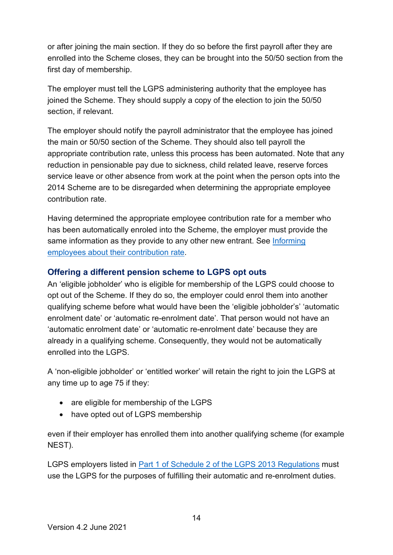or after joining the main section. If they do so before the first payroll after they are enrolled into the Scheme closes, they can be brought into the 50/50 section from the first day of membership.

The employer must tell the LGPS administering authority that the employee has joined the Scheme. They should supply a copy of the election to join the 50/50 section, if relevant.

The employer should notify the payroll administrator that the employee has joined the main or 50/50 section of the Scheme. They should also tell payroll the appropriate contribution rate, unless this process has been automated. Note that any reduction in pensionable pay due to sickness, child related leave, reserve forces service leave or other absence from work at the point when the person opts into the 2014 Scheme are to be disregarded when determining the appropriate employee contribution rate.

Having determined the appropriate employee contribution rate for a member who has been automatically enroled into the Scheme, the employer must provide the same information as they provide to any other new entrant. See Informing [employees about their contribution rate.](#page-9-0)

#### <span id="page-13-0"></span>**Offering a different pension scheme to LGPS opt outs**

An 'eligible jobholder' who is eligible for membership of the LGPS could choose to opt out of the Scheme. If they do so, the employer could enrol them into another qualifying scheme before what would have been the 'eligible jobholder's' 'automatic enrolment date' or 'automatic re-enrolment date'. That person would not have an 'automatic enrolment date' or 'automatic re-enrolment date' because they are already in a qualifying scheme. Consequently, they would not be automatically enrolled into the LGPS

A 'non-eligible jobholder' or 'entitled worker' will retain the right to join the LGPS at any time up to age 75 if they:

- are eligible for membership of the LGPS
- have opted out of LGPS membership

even if their employer has enrolled them into another qualifying scheme (for example NEST).

LGPS employers listed in [Part 1 of Schedule 2 of the LGPS 2013 Regulations](http://www.lgpsregs.org/schemeregs/lgpsregs2013/timeline.php#s2p1) must use the LGPS for the purposes of fulfilling their automatic and re-enrolment duties.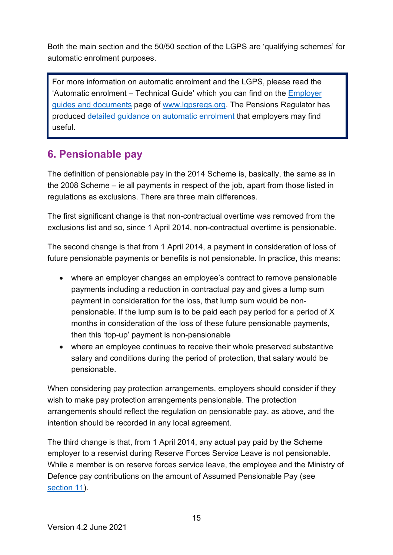Both the main section and the 50/50 section of the LGPS are 'qualifying schemes' for automatic enrolment purposes.

For more information on automatic enrolment and the LGPS, please read the 'Automatic enrolment – Technical Guide' which you can find on the [Employer](https://www.lgpsregs.org/employer-resources/guidesetc.php)  [guides and documents](https://www.lgpsregs.org/employer-resources/guidesetc.php) page of [www.lgpsregs.org.](http://www.lgpsregs.org/) The Pensions Regulator has produced [detailed guidance on automatic enrolment](https://www.thepensionsregulator.gov.uk/en/document-library/automatic-enrolment-detailed-guidance#d0fbeb73b5954f668710e90324243124) that employers may find useful.

# <span id="page-14-0"></span>**6. Pensionable pay**

The definition of pensionable pay in the 2014 Scheme is, basically, the same as in the 2008 Scheme – ie all payments in respect of the job, apart from those listed in regulations as exclusions. There are three main differences.

The first significant change is that non-contractual overtime was removed from the exclusions list and so, since 1 April 2014, non-contractual overtime is pensionable.

The second change is that from 1 April 2014, a payment in consideration of loss of future pensionable payments or benefits is not pensionable. In practice, this means:

- where an employer changes an employee's contract to remove pensionable payments including a reduction in contractual pay and gives a lump sum payment in consideration for the loss, that lump sum would be nonpensionable. If the lump sum is to be paid each pay period for a period of X months in consideration of the loss of these future pensionable payments, then this 'top-up' payment is non-pensionable
- where an employee continues to receive their whole preserved substantive salary and conditions during the period of protection, that salary would be pensionable.

When considering pay protection arrangements, employers should consider if they wish to make pay protection arrangements pensionable. The protection arrangements should reflect the regulation on pensionable pay, as above, and the intention should be recorded in any local agreement.

The third change is that, from 1 April 2014, any actual pay paid by the Scheme employer to a reservist during Reserve Forces Service Leave is not pensionable. While a member is on reserve forces service leave, the employee and the Ministry of Defence pay contributions on the amount of Assumed Pensionable Pay (see [section](#page-26-0) 11).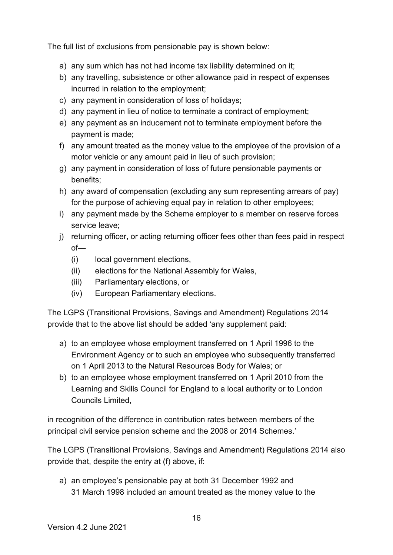The full list of exclusions from pensionable pay is shown below:

- a) any sum which has not had income tax liability determined on it;
- b) any travelling, subsistence or other allowance paid in respect of expenses incurred in relation to the employment;
- c) any payment in consideration of loss of holidays;
- d) any payment in lieu of notice to terminate a contract of employment;
- e) any payment as an inducement not to terminate employment before the payment is made;
- f) any amount treated as the money value to the employee of the provision of a motor vehicle or any amount paid in lieu of such provision;
- g) any payment in consideration of loss of future pensionable payments or benefits;
- h) any award of compensation (excluding any sum representing arrears of pay) for the purpose of achieving equal pay in relation to other employees;
- i) any payment made by the Scheme employer to a member on reserve forces service leave;
- j) returning officer, or acting returning officer fees other than fees paid in respect of—
	- (i) local government elections,
	- (ii) elections for the National Assembly for Wales,
	- (iii) Parliamentary elections, or
	- (iv) European Parliamentary elections.

The LGPS (Transitional Provisions, Savings and Amendment) Regulations 2014 provide that to the above list should be added 'any supplement paid:

- a) to an employee whose employment transferred on 1 April 1996 to the Environment Agency or to such an employee who subsequently transferred on 1 April 2013 to the Natural Resources Body for Wales; or
- b) to an employee whose employment transferred on 1 April 2010 from the Learning and Skills Council for England to a local authority or to London Councils Limited,

in recognition of the difference in contribution rates between members of the principal civil service pension scheme and the 2008 or 2014 Schemes.'

The LGPS (Transitional Provisions, Savings and Amendment) Regulations 2014 also provide that, despite the entry at (f) above, if:

a) an employee's pensionable pay at both 31 December 1992 and 31 March 1998 included an amount treated as the money value to the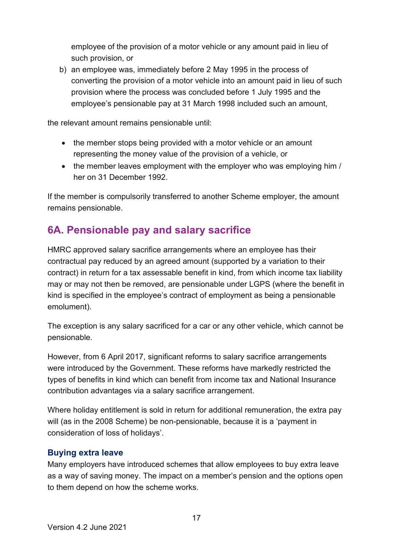employee of the provision of a motor vehicle or any amount paid in lieu of such provision, or

b) an employee was, immediately before 2 May 1995 in the process of converting the provision of a motor vehicle into an amount paid in lieu of such provision where the process was concluded before 1 July 1995 and the employee's pensionable pay at 31 March 1998 included such an amount,

the relevant amount remains pensionable until:

- the member stops being provided with a motor vehicle or an amount representing the money value of the provision of a vehicle, or
- the member leaves employment with the employer who was employing him / her on 31 December 1992.

If the member is compulsorily transferred to another Scheme employer, the amount remains pensionable.

# <span id="page-16-0"></span>**6A. Pensionable pay and salary sacrifice**

HMRC approved salary sacrifice arrangements where an employee has their contractual pay reduced by an agreed amount (supported by a variation to their contract) in return for a tax assessable benefit in kind, from which income tax liability may or may not then be removed, are pensionable under LGPS (where the benefit in kind is specified in the employee's contract of employment as being a pensionable emolument).

The exception is any salary sacrificed for a car or any other vehicle, which cannot be pensionable.

However, from 6 April 2017, significant reforms to salary sacrifice arrangements were introduced by the Government. These reforms have markedly restricted the types of benefits in kind which can benefit from income tax and National Insurance contribution advantages via a salary sacrifice arrangement.

Where holiday entitlement is sold in return for additional remuneration, the extra pay will (as in the 2008 Scheme) be non-pensionable, because it is a 'payment in consideration of loss of holidays'.

#### <span id="page-16-1"></span>**Buying extra leave**

Many employers have introduced schemes that allow employees to buy extra leave as a way of saving money. The impact on a member's pension and the options open to them depend on how the scheme works.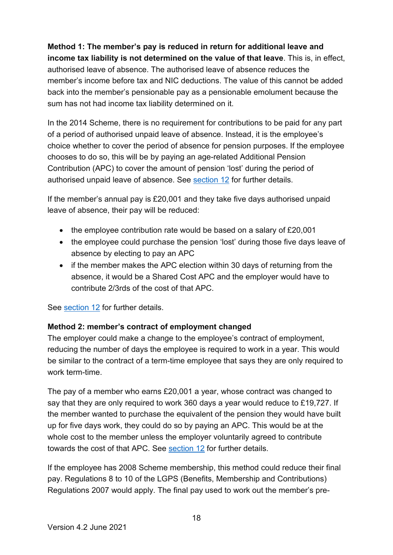**Method 1: The member's pay is reduced in return for additional leave and income tax liability is not determined on the value of that leave**. This is, in effect, authorised leave of absence. The authorised leave of absence reduces the member's income before tax and NIC deductions. The value of this cannot be added back into the member's pensionable pay as a pensionable emolument because the sum has not had income tax liability determined on it.

In the 2014 Scheme, there is no requirement for contributions to be paid for any part of a period of authorised unpaid leave of absence. Instead, it is the employee's choice whether to cover the period of absence for pension purposes. If the employee chooses to do so, this will be by paying an age-related Additional Pension Contribution (APC) to cover the amount of pension 'lost' during the period of authorised unpaid leave of absence. See [section 12](#page-30-0) for further details.

If the member's annual pay is £20,001 and they take five days authorised unpaid leave of absence, their pay will be reduced:

- the employee contribution rate would be based on a salary of £20,001
- the employee could purchase the pension 'lost' during those five days leave of absence by electing to pay an APC
- if the member makes the APC election within 30 days of returning from the absence, it would be a Shared Cost APC and the employer would have to contribute 2/3rds of the cost of that APC.

See section 12 for further details.

#### **Method 2: member's contract of employment changed**

The employer could make a change to the employee's contract of employment, reducing the number of days the employee is required to work in a year. This would be similar to the contract of a term-time employee that says they are only required to work term-time.

The pay of a member who earns £20,001 a year, whose contract was changed to say that they are only required to work 360 days a year would reduce to £19,727. If the member wanted to purchase the equivalent of the pension they would have built up for five days work, they could do so by paying an APC. This would be at the whole cost to the member unless the employer voluntarily agreed to contribute towards the cost of that APC. See [section 12](#page-30-0) for further details.

If the employee has 2008 Scheme membership, this method could reduce their final pay. Regulations 8 to 10 of the LGPS (Benefits, Membership and Contributions) Regulations 2007 would apply. The final pay used to work out the member's pre-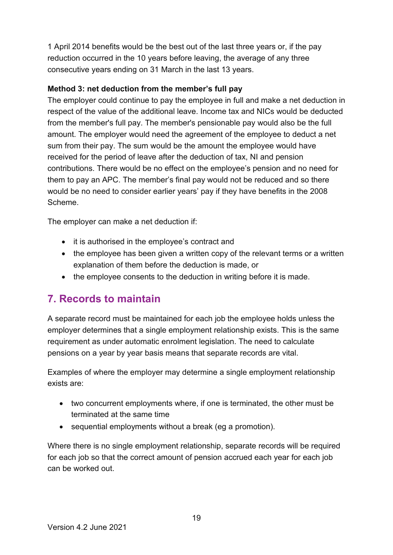1 April 2014 benefits would be the best out of the last three years or, if the pay reduction occurred in the 10 years before leaving, the average of any three consecutive years ending on 31 March in the last 13 years.

#### **Method 3: net deduction from the member's full pay**

The employer could continue to pay the employee in full and make a net deduction in respect of the value of the additional leave. Income tax and NICs would be deducted from the member's full pay. The member's pensionable pay would also be the full amount. The employer would need the agreement of the employee to deduct a net sum from their pay. The sum would be the amount the employee would have received for the period of leave after the deduction of tax, NI and pension contributions. There would be no effect on the employee's pension and no need for them to pay an APC. The member's final pay would not be reduced and so there would be no need to consider earlier years' pay if they have benefits in the 2008 Scheme.

The employer can make a net deduction if:

- it is authorised in the employee's contract and
- the employee has been given a written copy of the relevant terms or a written explanation of them before the deduction is made, or
- the employee consents to the deduction in writing before it is made.

### <span id="page-18-0"></span>**7. Records to maintain**

A separate record must be maintained for each job the employee holds unless the employer determines that a single employment relationship exists. This is the same requirement as under automatic enrolment legislation. The need to calculate pensions on a year by year basis means that separate records are vital.

Examples of where the employer may determine a single employment relationship exists are:

- two concurrent employments where, if one is terminated, the other must be terminated at the same time
- sequential employments without a break (eg a promotion).

Where there is no single employment relationship, separate records will be required for each job so that the correct amount of pension accrued each year for each job can be worked out.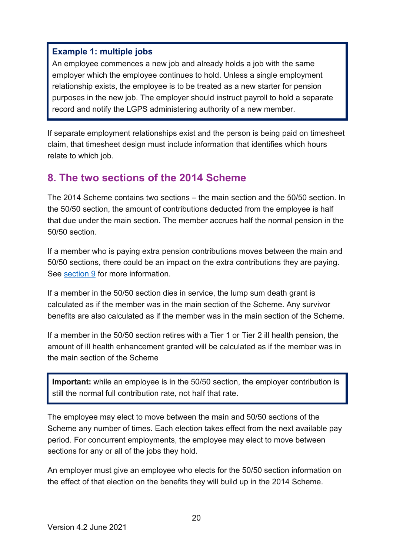#### <span id="page-19-0"></span>**Example 1: multiple jobs**

An employee commences a new job and already holds a job with the same employer which the employee continues to hold. Unless a single employment relationship exists, the employee is to be treated as a new starter for pension purposes in the new job. The employer should instruct payroll to hold a separate record and notify the LGPS administering authority of a new member.

If separate employment relationships exist and the person is being paid on timesheet claim, that timesheet design must include information that identifies which hours relate to which job.

### <span id="page-19-1"></span>**8. The two sections of the 2014 Scheme**

The 2014 Scheme contains two sections – the main section and the 50/50 section. In the 50/50 section, the amount of contributions deducted from the employee is half that due under the main section. The member accrues half the normal pension in the 50/50 section.

If a member who is paying extra pension contributions moves between the main and 50/50 sections, there could be an impact on the extra contributions they are paying. See [section 9](#page-21-0) for more information.

If a member in the 50/50 section dies in service, the lump sum death grant is calculated as if the member was in the main section of the Scheme. Any survivor benefits are also calculated as if the member was in the main section of the Scheme.

If a member in the 50/50 section retires with a Tier 1 or Tier 2 ill health pension, the amount of ill health enhancement granted will be calculated as if the member was in the main section of the Scheme

**Important:** while an employee is in the 50/50 section, the employer contribution is still the normal full contribution rate, not half that rate.

The employee may elect to move between the main and 50/50 sections of the Scheme any number of times. Each election takes effect from the next available pay period. For concurrent employments, the employee may elect to move between sections for any or all of the jobs they hold.

An employer must give an employee who elects for the 50/50 section information on the effect of that election on the benefits they will build up in the 2014 Scheme.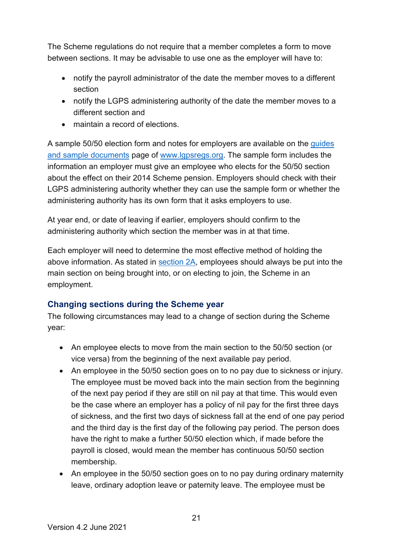The Scheme regulations do not require that a member completes a form to move between sections. It may be advisable to use one as the employer will have to:

- notify the payroll administrator of the date the member moves to a different section
- notify the LGPS administering authority of the date the member moves to a different section and
- maintain a record of elections.

A sample 50/50 election form and notes for employers are available on the [guides](http://lgpsregs.org/resources/guidesetc.php)  [and sample documents](http://lgpsregs.org/resources/guidesetc.php) page of [www.lgpsregs.org.](http://www.lgpsregs.org/) The sample form includes the information an employer must give an employee who elects for the 50/50 section about the effect on their 2014 Scheme pension. Employers should check with their LGPS administering authority whether they can use the sample form or whether the administering authority has its own form that it asks employers to use.

At year end, or date of leaving if earlier, employers should confirm to the administering authority which section the member was in at that time.

Each employer will need to determine the most effective method of holding the above information. As stated in [section 2A,](#page-4-0) employees should always be put into the main section on being brought into, or on electing to join, the Scheme in an employment.

#### <span id="page-20-0"></span>**Changing sections during the Scheme year**

The following circumstances may lead to a change of section during the Scheme year:

- An employee elects to move from the main section to the 50/50 section (or vice versa) from the beginning of the next available pay period.
- An employee in the 50/50 section goes on to no pay due to sickness or injury. The employee must be moved back into the main section from the beginning of the next pay period if they are still on nil pay at that time. This would even be the case where an employer has a policy of nil pay for the first three days of sickness, and the first two days of sickness fall at the end of one pay period and the third day is the first day of the following pay period. The person does have the right to make a further 50/50 election which, if made before the payroll is closed, would mean the member has continuous 50/50 section membership.
- An employee in the 50/50 section goes on to no pay during ordinary maternity leave, ordinary adoption leave or paternity leave. The employee must be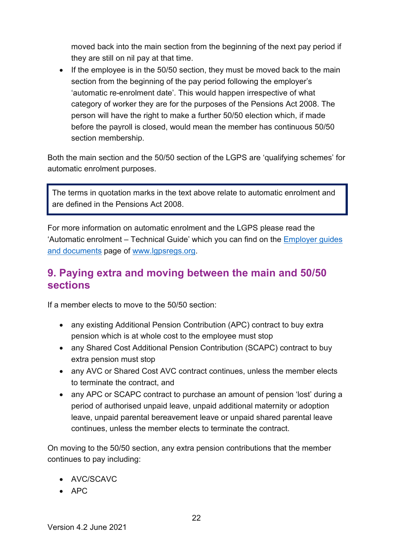moved back into the main section from the beginning of the next pay period if they are still on nil pay at that time.

• If the employee is in the 50/50 section, they must be moved back to the main section from the beginning of the pay period following the employer's 'automatic re-enrolment date'. This would happen irrespective of what category of worker they are for the purposes of the Pensions Act 2008. The person will have the right to make a further 50/50 election which, if made before the payroll is closed, would mean the member has continuous 50/50 section membership.

Both the main section and the 50/50 section of the LGPS are 'qualifying schemes' for automatic enrolment purposes.

The terms in quotation marks in the text above relate to automatic enrolment and are defined in the Pensions Act 2008.

For more information on automatic enrolment and the LGPS please read the 'Automatic enrolment – Technical Guide' which you can find on the Employer guides and documents page of [www.lgpsregs.org.](http://www.lgpsregs.org/)

### <span id="page-21-0"></span>**9. Paying extra and moving between the main and 50/50 sections**

If a member elects to move to the 50/50 section:

- any existing Additional Pension Contribution (APC) contract to buy extra pension which is at whole cost to the employee must stop
- any Shared Cost Additional Pension Contribution (SCAPC) contract to buy extra pension must stop
- any AVC or Shared Cost AVC contract continues, unless the member elects to terminate the contract, and
- any APC or SCAPC contract to purchase an amount of pension 'lost' during a period of authorised unpaid leave, unpaid additional maternity or adoption leave, unpaid parental bereavement leave or unpaid shared parental leave continues, unless the member elects to terminate the contract.

On moving to the 50/50 section, any extra pension contributions that the member continues to pay including:

- AVC/SCAVC
- APC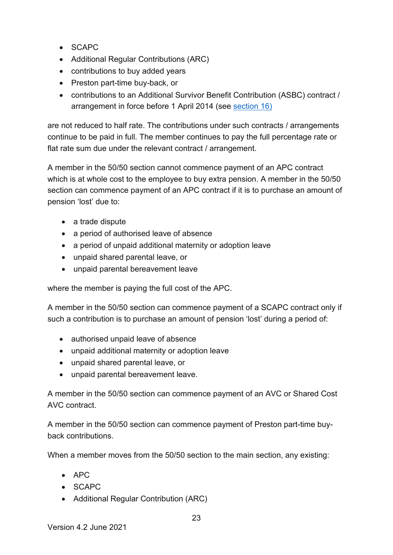- SCAPC
- Additional Regular Contributions (ARC)
- contributions to buy added years
- Preston part-time buy-back, or
- contributions to an Additional Survivor Benefit Contribution (ASBC) contract / arrangement in force before 1 April 2014 (see [section 16\)](#page-37-2)

are not reduced to half rate. The contributions under such contracts / arrangements continue to be paid in full. The member continues to pay the full percentage rate or flat rate sum due under the relevant contract / arrangement.

A member in the 50/50 section cannot commence payment of an APC contract which is at whole cost to the employee to buy extra pension. A member in the 50/50 section can commence payment of an APC contract if it is to purchase an amount of pension 'lost' due to:

- a trade dispute
- a period of authorised leave of absence
- a period of unpaid additional maternity or adoption leave
- unpaid shared parental leave, or
- unpaid parental bereavement leave

where the member is paying the full cost of the APC.

A member in the 50/50 section can commence payment of a SCAPC contract only if such a contribution is to purchase an amount of pension 'lost' during a period of:

- authorised unpaid leave of absence
- unpaid additional maternity or adoption leave
- unpaid shared parental leave, or
- unpaid parental bereavement leave.

A member in the 50/50 section can commence payment of an AVC or Shared Cost AVC contract.

A member in the 50/50 section can commence payment of Preston part-time buyback contributions.

When a member moves from the 50/50 section to the main section, any existing:

- APC
- SCAPC
- Additional Regular Contribution (ARC)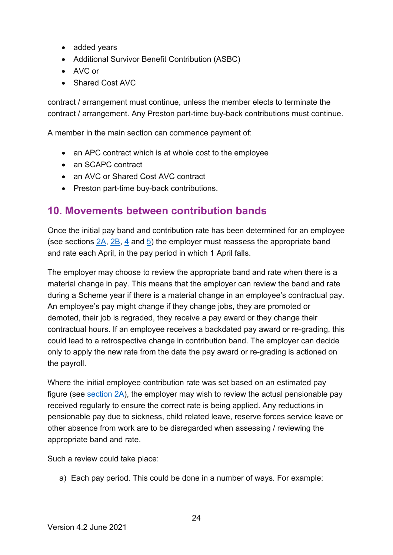- added years
- Additional Survivor Benefit Contribution (ASBC)
- AVC or
- Shared Cost AVC

contract / arrangement must continue, unless the member elects to terminate the contract / arrangement. Any Preston part-time buy-back contributions must continue.

A member in the main section can commence payment of:

- an APC contract which is at whole cost to the employee
- an SCAPC contract
- an AVC or Shared Cost AVC contract
- Preston part-time buy-back contributions.

### <span id="page-23-0"></span>**10. Movements between contribution bands**

Once the initial pay band and contribution rate has been determined for an employee (see sections [2A,](#page-4-0) [2B,](#page-9-1) [4](#page-11-0) and [5\)](#page-12-0) the employer must reassess the appropriate band and rate each April, in the pay period in which 1 April falls.

The employer may choose to review the appropriate band and rate when there is a material change in pay. This means that the employer can review the band and rate during a Scheme year if there is a material change in an employee's contractual pay. An employee's pay might change if they change jobs, they are promoted or demoted, their job is regraded, they receive a pay award or they change their contractual hours. If an employee receives a backdated pay award or re-grading, this could lead to a retrospective change in contribution band. The employer can decide only to apply the new rate from the date the pay award or re-grading is actioned on the payroll.

Where the initial employee contribution rate was set based on an estimated pay figure (see [section 2A\)](#page-4-0), the employer may wish to review the actual pensionable pay received regularly to ensure the correct rate is being applied. Any reductions in pensionable pay due to sickness, child related leave, reserve forces service leave or other absence from work are to be disregarded when assessing / reviewing the appropriate band and rate.

Such a review could take place:

a) Each pay period. This could be done in a number of ways. For example: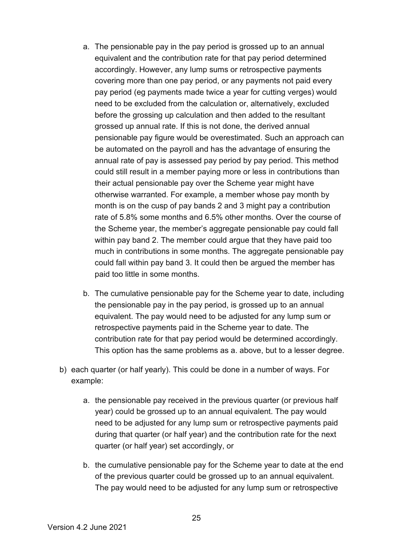- a. The pensionable pay in the pay period is grossed up to an annual equivalent and the contribution rate for that pay period determined accordingly. However, any lump sums or retrospective payments covering more than one pay period, or any payments not paid every pay period (eg payments made twice a year for cutting verges) would need to be excluded from the calculation or, alternatively, excluded before the grossing up calculation and then added to the resultant grossed up annual rate. If this is not done, the derived annual pensionable pay figure would be overestimated. Such an approach can be automated on the payroll and has the advantage of ensuring the annual rate of pay is assessed pay period by pay period. This method could still result in a member paying more or less in contributions than their actual pensionable pay over the Scheme year might have otherwise warranted. For example, a member whose pay month by month is on the cusp of pay bands 2 and 3 might pay a contribution rate of 5.8% some months and 6.5% other months. Over the course of the Scheme year, the member's aggregate pensionable pay could fall within pay band 2. The member could argue that they have paid too much in contributions in some months. The aggregate pensionable pay could fall within pay band 3. It could then be argued the member has paid too little in some months.
- b. The cumulative pensionable pay for the Scheme year to date, including the pensionable pay in the pay period, is grossed up to an annual equivalent. The pay would need to be adjusted for any lump sum or retrospective payments paid in the Scheme year to date. The contribution rate for that pay period would be determined accordingly. This option has the same problems as a. above, but to a lesser degree.
- b) each quarter (or half yearly). This could be done in a number of ways. For example:
	- a. the pensionable pay received in the previous quarter (or previous half year) could be grossed up to an annual equivalent. The pay would need to be adjusted for any lump sum or retrospective payments paid during that quarter (or half year) and the contribution rate for the next quarter (or half year) set accordingly, or
	- b. the cumulative pensionable pay for the Scheme year to date at the end of the previous quarter could be grossed up to an annual equivalent. The pay would need to be adjusted for any lump sum or retrospective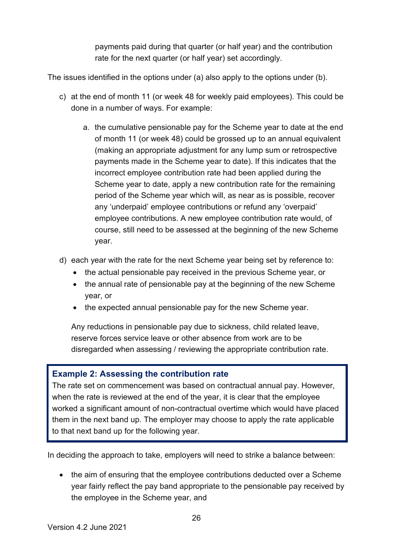payments paid during that quarter (or half year) and the contribution rate for the next quarter (or half year) set accordingly.

The issues identified in the options under (a) also apply to the options under (b).

- c) at the end of month 11 (or week 48 for weekly paid employees). This could be done in a number of ways. For example:
	- a. the cumulative pensionable pay for the Scheme year to date at the end of month 11 (or week 48) could be grossed up to an annual equivalent (making an appropriate adjustment for any lump sum or retrospective payments made in the Scheme year to date). If this indicates that the incorrect employee contribution rate had been applied during the Scheme year to date, apply a new contribution rate for the remaining period of the Scheme year which will, as near as is possible, recover any 'underpaid' employee contributions or refund any 'overpaid' employee contributions. A new employee contribution rate would, of course, still need to be assessed at the beginning of the new Scheme year.
- d) each year with the rate for the next Scheme year being set by reference to:
	- the actual pensionable pay received in the previous Scheme year, or
	- the annual rate of pensionable pay at the beginning of the new Scheme year, or
	- the expected annual pensionable pay for the new Scheme year.

Any reductions in pensionable pay due to sickness, child related leave, reserve forces service leave or other absence from work are to be disregarded when assessing / reviewing the appropriate contribution rate.

#### <span id="page-25-0"></span>**Example 2: Assessing the contribution rate**

The rate set on commencement was based on contractual annual pay. However, when the rate is reviewed at the end of the year, it is clear that the employee worked a significant amount of non-contractual overtime which would have placed them in the next band up. The employer may choose to apply the rate applicable to that next band up for the following year.

In deciding the approach to take, employers will need to strike a balance between:

• the aim of ensuring that the employee contributions deducted over a Scheme year fairly reflect the pay band appropriate to the pensionable pay received by the employee in the Scheme year, and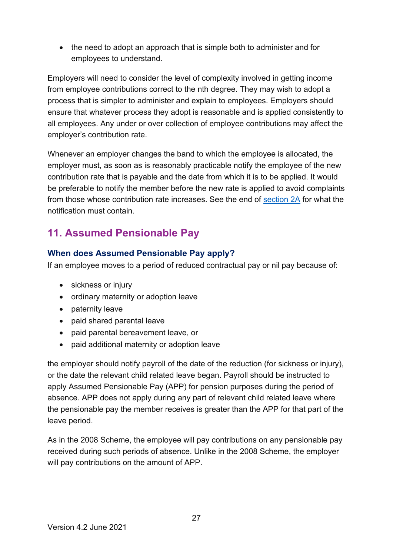• the need to adopt an approach that is simple both to administer and for employees to understand.

Employers will need to consider the level of complexity involved in getting income from employee contributions correct to the nth degree. They may wish to adopt a process that is simpler to administer and explain to employees. Employers should ensure that whatever process they adopt is reasonable and is applied consistently to all employees. Any under or over collection of employee contributions may affect the employer's contribution rate.

Whenever an employer changes the band to which the employee is allocated, the employer must, as soon as is reasonably practicable notify the employee of the new contribution rate that is payable and the date from which it is to be applied. It would be preferable to notify the member before the new rate is applied to avoid complaints from those whose contribution rate increases. See the end of [section 2A](#page-9-0) for what the notification must contain.

# <span id="page-26-0"></span>**11. Assumed Pensionable Pay**

#### <span id="page-26-1"></span>**When does Assumed Pensionable Pay apply?**

If an employee moves to a period of reduced contractual pay or nil pay because of:

- sickness or injury
- ordinary maternity or adoption leave
- paternity leave
- paid shared parental leave
- paid parental bereavement leave, or
- paid additional maternity or adoption leave

the employer should notify payroll of the date of the reduction (for sickness or injury), or the date the relevant child related leave began. Payroll should be instructed to apply Assumed Pensionable Pay (APP) for pension purposes during the period of absence. APP does not apply during any part of relevant child related leave where the pensionable pay the member receives is greater than the APP for that part of the leave period.

As in the 2008 Scheme, the employee will pay contributions on any pensionable pay received during such periods of absence. Unlike in the 2008 Scheme, the employer will pay contributions on the amount of APP.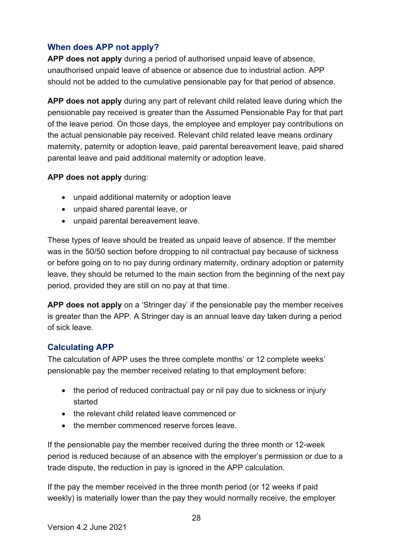#### <span id="page-27-0"></span>**When does APP not apply?**

**APP does not apply** during a period of authorised unpaid leave of absence, unauthorised unpaid leave of absence or absence due to industrial action. APP should not be added to the cumulative pensionable pay for that period of absence.

**APP does not apply** during any part of relevant child related leave during which the pensionable pay received is greater than the Assumed Pensionable Pay for that part of the leave period. On those days, the employee and employer pay contributions on the actual pensionable pay received. Relevant child related leave means ordinary maternity, paternity or adoption leave, paid parental bereavement leave, paid shared parental leave and paid additional maternity or adoption leave.

#### **APP does not apply** during:

- unpaid additional maternity or adoption leave
- unpaid shared parental leave, or
- unpaid parental bereavement leave.

These types of leave should be treated as unpaid leave of absence. If the member was in the 50/50 section before dropping to nil contractual pay because of sickness or before going on to no pay during ordinary maternity, ordinary adoption or paternity leave, they should be returned to the main section from the beginning of the next pay period, provided they are still on no pay at that time.

**APP does not apply** on a 'Stringer day' if the pensionable pay the member receives is greater than the APP. A Stringer day is an annual leave day taken during a period of sick leave.

#### <span id="page-27-1"></span>**Calculating APP**

The calculation of APP uses the three complete months' or 12 complete weeks' pensionable pay the member received relating to that employment before:

- the period of reduced contractual pay or nil pay due to sickness or injury started
- the relevant child related leave commenced or
- the member commenced reserve forces leave.

If the pensionable pay the member received during the three month or 12-week period is reduced because of an absence with the employer's permission or due to a trade dispute, the reduction in pay is ignored in the APP calculation.

If the pay the member received in the three month period (or 12 weeks if paid weekly) is materially lower than the pay they would normally receive, the employer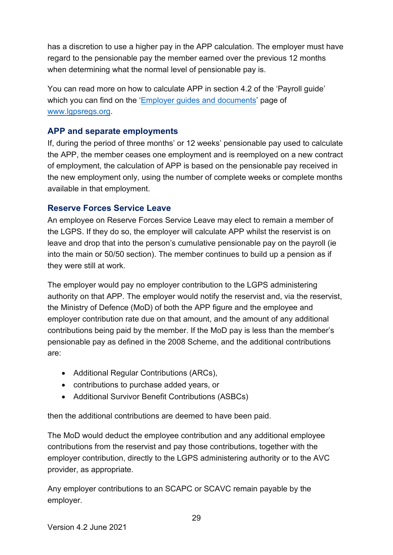has a discretion to use a higher pay in the APP calculation. The employer must have regard to the pensionable pay the member earned over the previous 12 months when determining what the normal level of pensionable pay is.

You can read more on how to calculate APP in section 4.2 of the 'Payroll guide' which you can find on the ['Employer guides and documents'](https://www.lgpsregs.org/employer-resources/guidesetc.php) page of [www.lgpsregs.org.](http://www.lgpsregs.org/)

#### <span id="page-28-0"></span>**APP and separate employments**

If, during the period of three months' or 12 weeks' pensionable pay used to calculate the APP, the member ceases one employment and is reemployed on a new contract of employment, the calculation of APP is based on the pensionable pay received in the new employment only, using the number of complete weeks or complete months available in that employment.

#### <span id="page-28-1"></span>**Reserve Forces Service Leave**

An employee on Reserve Forces Service Leave may elect to remain a member of the LGPS. If they do so, the employer will calculate APP whilst the reservist is on leave and drop that into the person's cumulative pensionable pay on the payroll (ie into the main or 50/50 section). The member continues to build up a pension as if they were still at work.

The employer would pay no employer contribution to the LGPS administering authority on that APP. The employer would notify the reservist and, via the reservist, the Ministry of Defence (MoD) of both the APP figure and the employee and employer contribution rate due on that amount, and the amount of any additional contributions being paid by the member. If the MoD pay is less than the member's pensionable pay as defined in the 2008 Scheme, and the additional contributions are:

- Additional Regular Contributions (ARCs),
- contributions to purchase added years, or
- Additional Survivor Benefit Contributions (ASBCs)

then the additional contributions are deemed to have been paid.

The MoD would deduct the employee contribution and any additional employee contributions from the reservist and pay those contributions, together with the employer contribution, directly to the LGPS administering authority or to the AVC provider, as appropriate.

Any employer contributions to an SCAPC or SCAVC remain payable by the employer.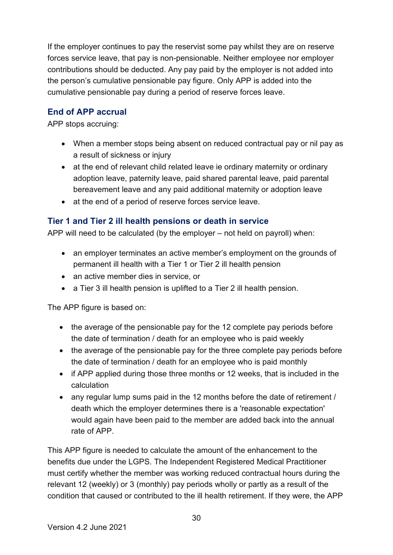If the employer continues to pay the reservist some pay whilst they are on reserve forces service leave, that pay is non-pensionable. Neither employee nor employer contributions should be deducted. Any pay paid by the employer is not added into the person's cumulative pensionable pay figure. Only APP is added into the cumulative pensionable pay during a period of reserve forces leave.

### <span id="page-29-0"></span>**End of APP accrual**

APP stops accruing:

- When a member stops being absent on reduced contractual pay or nil pay as a result of sickness or injury
- at the end of relevant child related leave ie ordinary maternity or ordinary adoption leave, paternity leave, paid shared parental leave, paid parental bereavement leave and any paid additional maternity or adoption leave
- at the end of a period of reserve forces service leave.

#### <span id="page-29-1"></span>**Tier 1 and Tier 2 ill health pensions or death in service**

APP will need to be calculated (by the employer – not held on payroll) when:

- an employer terminates an active member's employment on the grounds of permanent ill health with a Tier 1 or Tier 2 ill health pension
- an active member dies in service, or
- a Tier 3 ill health pension is uplifted to a Tier 2 ill health pension.

The APP figure is based on:

- the average of the pensionable pay for the 12 complete pay periods before the date of termination / death for an employee who is paid weekly
- the average of the pensionable pay for the three complete pay periods before the date of termination / death for an employee who is paid monthly
- if APP applied during those three months or 12 weeks, that is included in the calculation
- any regular lump sums paid in the 12 months before the date of retirement / death which the employer determines there is a 'reasonable expectation' would again have been paid to the member are added back into the annual rate of APP.

This APP figure is needed to calculate the amount of the enhancement to the benefits due under the LGPS. The Independent Registered Medical Practitioner must certify whether the member was working reduced contractual hours during the relevant 12 (weekly) or 3 (monthly) pay periods wholly or partly as a result of the condition that caused or contributed to the ill health retirement. If they were, the APP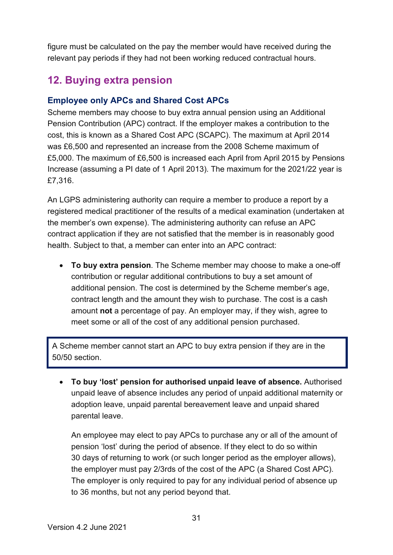figure must be calculated on the pay the member would have received during the relevant pay periods if they had not been working reduced contractual hours.

# <span id="page-30-0"></span>**12. Buying extra pension**

#### <span id="page-30-1"></span>**Employee only APCs and Shared Cost APCs**

Scheme members may choose to buy extra annual pension using an Additional Pension Contribution (APC) contract. If the employer makes a contribution to the cost, this is known as a Shared Cost APC (SCAPC). The maximum at April 2014 was £6,500 and represented an increase from the 2008 Scheme maximum of £5,000. The maximum of £6,500 is increased each April from April 2015 by Pensions Increase (assuming a PI date of 1 April 2013). The maximum for the 2021/22 year is £7,316.

An LGPS administering authority can require a member to produce a report by a registered medical practitioner of the results of a medical examination (undertaken at the member's own expense). The administering authority can refuse an APC contract application if they are not satisfied that the member is in reasonably good health. Subject to that, a member can enter into an APC contract:

• **To buy extra pension**. The Scheme member may choose to make a one-off contribution or regular additional contributions to buy a set amount of additional pension. The cost is determined by the Scheme member's age, contract length and the amount they wish to purchase. The cost is a cash amount **not** a percentage of pay. An employer may, if they wish, agree to meet some or all of the cost of any additional pension purchased.

A Scheme member cannot start an APC to buy extra pension if they are in the 50/50 section.

• **To buy 'lost' pension for authorised unpaid leave of absence.** Authorised unpaid leave of absence includes any period of unpaid additional maternity or adoption leave, unpaid parental bereavement leave and unpaid shared parental leave.

An employee may elect to pay APCs to purchase any or all of the amount of pension 'lost' during the period of absence. If they elect to do so within 30 days of returning to work (or such longer period as the employer allows), the employer must pay 2/3rds of the cost of the APC (a Shared Cost APC). The employer is only required to pay for any individual period of absence up to 36 months, but not any period beyond that.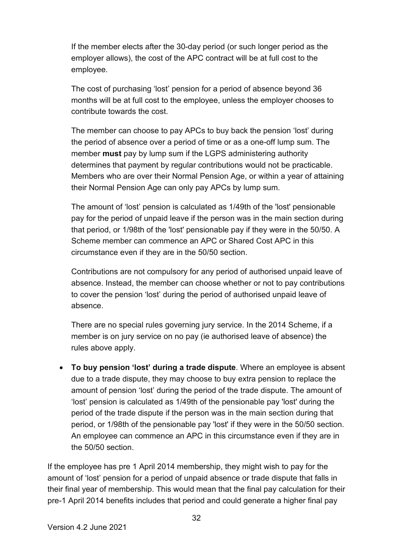If the member elects after the 30-day period (or such longer period as the employer allows), the cost of the APC contract will be at full cost to the employee.

The cost of purchasing 'lost' pension for a period of absence beyond 36 months will be at full cost to the employee, unless the employer chooses to contribute towards the cost.

The member can choose to pay APCs to buy back the pension 'lost' during the period of absence over a period of time or as a one-off lump sum. The member **must** pay by lump sum if the LGPS administering authority determines that payment by regular contributions would not be practicable. Members who are over their Normal Pension Age, or within a year of attaining their Normal Pension Age can only pay APCs by lump sum.

The amount of 'lost' pension is calculated as 1/49th of the 'lost' pensionable pay for the period of unpaid leave if the person was in the main section during that period, or 1/98th of the 'lost' pensionable pay if they were in the 50/50. A Scheme member can commence an APC or Shared Cost APC in this circumstance even if they are in the 50/50 section.

Contributions are not compulsory for any period of authorised unpaid leave of absence. Instead, the member can choose whether or not to pay contributions to cover the pension 'lost' during the period of authorised unpaid leave of absence.

There are no special rules governing jury service. In the 2014 Scheme, if a member is on jury service on no pay (ie authorised leave of absence) the rules above apply.

• **To buy pension 'lost' during a trade dispute**. Where an employee is absent due to a trade dispute, they may choose to buy extra pension to replace the amount of pension 'lost' during the period of the trade dispute. The amount of 'lost' pension is calculated as 1/49th of the pensionable pay 'lost' during the period of the trade dispute if the person was in the main section during that period, or 1/98th of the pensionable pay 'lost' if they were in the 50/50 section. An employee can commence an APC in this circumstance even if they are in the 50/50 section.

If the employee has pre 1 April 2014 membership, they might wish to pay for the amount of 'lost' pension for a period of unpaid absence or trade dispute that falls in their final year of membership. This would mean that the final pay calculation for their pre-1 April 2014 benefits includes that period and could generate a higher final pay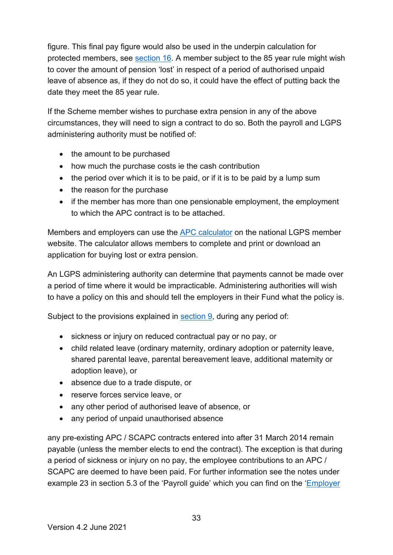figure. This final pay figure would also be used in the underpin calculation for protected members, see [section 16.](#page-37-2) A member subject to the 85 year rule might wish to cover the amount of pension 'lost' in respect of a period of authorised unpaid leave of absence as, if they do not do so, it could have the effect of putting back the date they meet the 85 year rule.

If the Scheme member wishes to purchase extra pension in any of the above circumstances, they will need to sign a contract to do so. Both the payroll and LGPS administering authority must be notified of:

- the amount to be purchased
- how much the purchase costs ie the cash contribution
- the period over which it is to be paid, or if it is to be paid by a lump sum
- the reason for the purchase
- if the member has more than one pensionable employment, the employment to which the APC contract is to be attached.

Members and employers can use the APC [calculator](https://www.lgpsmember.org/more/apc/index.php) on the national LGPS member website. The calculator allows members to complete and print or download an application for buying lost or extra pension.

An LGPS administering authority can determine that payments cannot be made over a period of time where it would be impracticable. Administering authorities will wish to have a policy on this and should tell the employers in their Fund what the policy is.

Subject to the provisions explained in [section 9,](#page-21-0) during any period of:

- sickness or injury on reduced contractual pay or no pay, or
- child related leave (ordinary maternity, ordinary adoption or paternity leave, shared parental leave, parental bereavement leave, additional maternity or adoption leave), or
- absence due to a trade dispute, or
- reserve forces service leave, or
- any other period of authorised leave of absence, or
- any period of unpaid unauthorised absence

any pre-existing APC / SCAPC contracts entered into after 31 March 2014 remain payable (unless the member elects to end the contract). The exception is that during a period of sickness or injury on no pay, the employee contributions to an APC / SCAPC are deemed to have been paid. For further information see the notes under example 23 in section 5.3 of the 'Payroll guide' which you can find on the ['Employer](https://www.lgpsregs.org/employer-resources/guidesetc.php)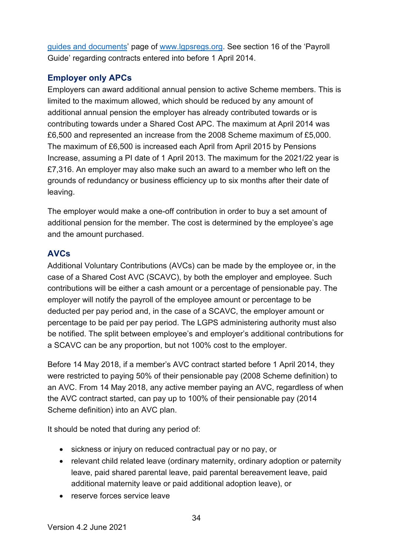[guides and documents'](https://www.lgpsregs.org/employer-resources/guidesetc.php) page of [www.lgpsregs.org.](http://www.lgpsregs.org/) See section 16 of the 'Payroll Guide' regarding contracts entered into before 1 April 2014.

#### <span id="page-33-0"></span>**Employer only APCs**

Employers can award additional annual pension to active Scheme members. This is limited to the maximum allowed, which should be reduced by any amount of additional annual pension the employer has already contributed towards or is contributing towards under a Shared Cost APC. The maximum at April 2014 was £6,500 and represented an increase from the 2008 Scheme maximum of £5,000. The maximum of £6,500 is increased each April from April 2015 by Pensions Increase, assuming a PI date of 1 April 2013. The maximum for the 2021/22 year is £7,316. An employer may also make such an award to a member who left on the grounds of redundancy or business efficiency up to six months after their date of leaving.

The employer would make a one-off contribution in order to buy a set amount of additional pension for the member. The cost is determined by the employee's age and the amount purchased.

#### <span id="page-33-1"></span>**AVCs**

Additional Voluntary Contributions (AVCs) can be made by the employee or, in the case of a Shared Cost AVC (SCAVC), by both the employer and employee. Such contributions will be either a cash amount or a percentage of pensionable pay. The employer will notify the payroll of the employee amount or percentage to be deducted per pay period and, in the case of a SCAVC, the employer amount or percentage to be paid per pay period. The LGPS administering authority must also be notified. The split between employee's and employer's additional contributions for a SCAVC can be any proportion, but not 100% cost to the employer.

Before 14 May 2018, if a member's AVC contract started before 1 April 2014, they were restricted to paying 50% of their pensionable pay (2008 Scheme definition) to an AVC. From 14 May 2018, any active member paying an AVC, regardless of when the AVC contract started, can pay up to 100% of their pensionable pay (2014 Scheme definition) into an AVC plan.

It should be noted that during any period of:

- sickness or injury on reduced contractual pay or no pay, or
- relevant child related leave (ordinary maternity, ordinary adoption or paternity leave, paid shared parental leave, paid parental bereavement leave, paid additional maternity leave or paid additional adoption leave), or
- reserve forces service leave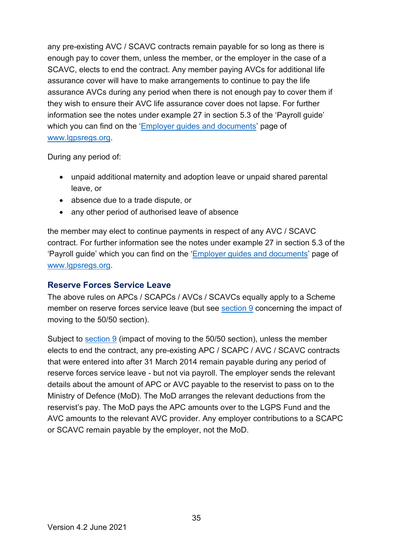any pre-existing AVC / SCAVC contracts remain payable for so long as there is enough pay to cover them, unless the member, or the employer in the case of a SCAVC, elects to end the contract. Any member paying AVCs for additional life assurance cover will have to make arrangements to continue to pay the life assurance AVCs during any period when there is not enough pay to cover them if they wish to ensure their AVC life assurance cover does not lapse. For further information see the notes under example 27 in section 5.3 of the 'Payroll guide' which you can find on the ['Employer guides and documents'](https://www.lgpsregs.org/employer-resources/guidesetc.php) page of [www.lgpsregs.org.](http://www.lgpsregs.org/)

During any period of:

- unpaid additional maternity and adoption leave or unpaid shared parental leave, or
- absence due to a trade dispute, or
- any other period of authorised leave of absence

the member may elect to continue payments in respect of any AVC / SCAVC contract. For further information see the notes under example 27 in section 5.3 of the 'Payroll guide' which you can find on the ['Employer guides and documents'](https://www.lgpsregs.org/employer-resources/guidesetc.php) page of [www.lgpsregs.org.](http://www.lgpsregs.org/)

#### <span id="page-34-0"></span>**Reserve Forces Service Leave**

The above rules on APCs / SCAPCs / AVCs / SCAVCs equally apply to a Scheme member on reserve forces service leave (but see [section 9](#page-21-0) concerning the impact of moving to the 50/50 section).

Subject to [section 9](#page-21-0) (impact of moving to the 50/50 section), unless the member elects to end the contract, any pre-existing APC / SCAPC / AVC / SCAVC contracts that were entered into after 31 March 2014 remain payable during any period of reserve forces service leave - but not via payroll. The employer sends the relevant details about the amount of APC or AVC payable to the reservist to pass on to the Ministry of Defence (MoD). The MoD arranges the relevant deductions from the reservist's pay. The MoD pays the APC amounts over to the LGPS Fund and the AVC amounts to the relevant AVC provider. Any employer contributions to a SCAPC or SCAVC remain payable by the employer, not the MoD.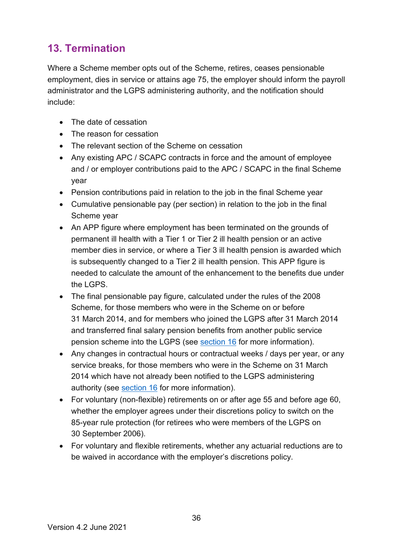# <span id="page-35-0"></span>**13. Termination**

Where a Scheme member opts out of the Scheme, retires, ceases pensionable employment, dies in service or attains age 75, the employer should inform the payroll administrator and the LGPS administering authority, and the notification should include:

- The date of cessation
- The reason for cessation
- The relevant section of the Scheme on cessation
- Any existing APC / SCAPC contracts in force and the amount of employee and / or employer contributions paid to the APC / SCAPC in the final Scheme year
- Pension contributions paid in relation to the job in the final Scheme year
- Cumulative pensionable pay (per section) in relation to the job in the final Scheme year
- An APP figure where employment has been terminated on the grounds of permanent ill health with a Tier 1 or Tier 2 ill health pension or an active member dies in service, or where a Tier 3 ill health pension is awarded which is subsequently changed to a Tier 2 ill health pension. This APP figure is needed to calculate the amount of the enhancement to the benefits due under the LGPS.
- The final pensionable pay figure, calculated under the rules of the 2008 Scheme, for those members who were in the Scheme on or before 31 March 2014, and for members who joined the LGPS after 31 March 2014 and transferred final salary pension benefits from another public service pension scheme into the LGPS (see [section 16](#page-37-2) for more information).
- Any changes in contractual hours or contractual weeks / days per year, or any service breaks, for those members who were in the Scheme on 31 March 2014 which have not already been notified to the LGPS administering authority (see [section 16](#page-37-2) for more information).
- For voluntary (non-flexible) retirements on or after age 55 and before age 60, whether the employer agrees under their discretions policy to switch on the 85-year rule protection (for retirees who were members of the LGPS on 30 September 2006).
- For voluntary and flexible retirements, whether any actuarial reductions are to be waived in accordance with the employer's discretions policy.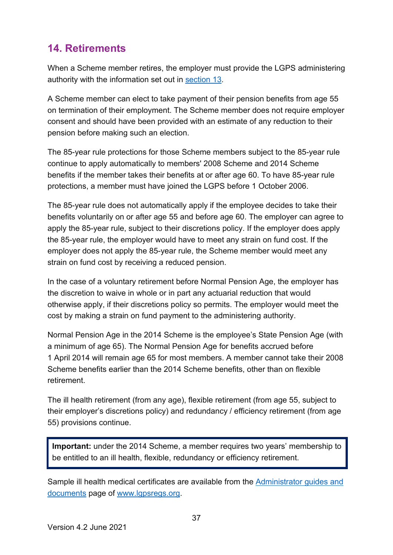# <span id="page-36-0"></span>**14. Retirements**

When a Scheme member retires, the employer must provide the LGPS administering authority with the information set out in [section 13.](#page-35-0)

A Scheme member can elect to take payment of their pension benefits from age 55 on termination of their employment. The Scheme member does not require employer consent and should have been provided with an estimate of any reduction to their pension before making such an election.

The 85-year rule protections for those Scheme members subject to the 85-year rule continue to apply automatically to members' 2008 Scheme and 2014 Scheme benefits if the member takes their benefits at or after age 60. To have 85-year rule protections, a member must have joined the LGPS before 1 October 2006.

The 85-year rule does not automatically apply if the employee decides to take their benefits voluntarily on or after age 55 and before age 60. The employer can agree to apply the 85-year rule, subject to their discretions policy. If the employer does apply the 85-year rule, the employer would have to meet any strain on fund cost. If the employer does not apply the 85-year rule, the Scheme member would meet any strain on fund cost by receiving a reduced pension.

In the case of a voluntary retirement before Normal Pension Age, the employer has the discretion to waive in whole or in part any actuarial reduction that would otherwise apply, if their discretions policy so permits. The employer would meet the cost by making a strain on fund payment to the administering authority.

Normal Pension Age in the 2014 Scheme is the employee's State Pension Age (with a minimum of age 65). The Normal Pension Age for benefits accrued before 1 April 2014 will remain age 65 for most members. A member cannot take their 2008 Scheme benefits earlier than the 2014 Scheme benefits, other than on flexible retirement.

The ill health retirement (from any age), flexible retirement (from age 55, subject to their employer's discretions policy) and redundancy / efficiency retirement (from age 55) provisions continue.

**Important:** under the 2014 Scheme, a member requires two years' membership to be entitled to an ill health, flexible, redundancy or efficiency retirement.

Sample ill health medical certificates are available from the [Administrator guides and](http://www.lgpsregs.org/resources/guidesetc.php)  [documents](http://www.lgpsregs.org/resources/guidesetc.php) page of [www.lgpsregs.org.](http://www.lgpsregs.org/)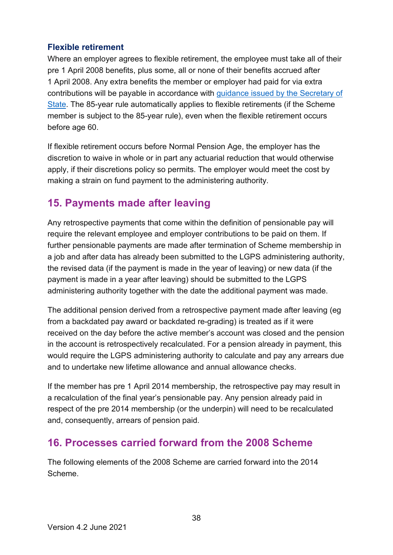#### <span id="page-37-0"></span>**Flexible retirement**

Where an employer agrees to flexible retirement, the employee must take all of their pre 1 April 2008 benefits, plus some, all or none of their benefits accrued after 1 April 2008. Any extra benefits the member or employer had paid for via extra contributions will be payable in accordance with [guidance issued by the Secretary of](http://www.lgpsregs.org/schemeregs/actguidance.php)  [State.](http://www.lgpsregs.org/schemeregs/actguidance.php) The 85-year rule automatically applies to flexible retirements (if the Scheme member is subject to the 85-year rule), even when the flexible retirement occurs before age 60.

If flexible retirement occurs before Normal Pension Age, the employer has the discretion to waive in whole or in part any actuarial reduction that would otherwise apply, if their discretions policy so permits. The employer would meet the cost by making a strain on fund payment to the administering authority.

### <span id="page-37-1"></span>**15. Payments made after leaving**

Any retrospective payments that come within the definition of pensionable pay will require the relevant employee and employer contributions to be paid on them. If further pensionable payments are made after termination of Scheme membership in a job and after data has already been submitted to the LGPS administering authority, the revised data (if the payment is made in the year of leaving) or new data (if the payment is made in a year after leaving) should be submitted to the LGPS administering authority together with the date the additional payment was made.

The additional pension derived from a retrospective payment made after leaving (eg from a backdated pay award or backdated re-grading) is treated as if it were received on the day before the active member's account was closed and the pension in the account is retrospectively recalculated. For a pension already in payment, this would require the LGPS administering authority to calculate and pay any arrears due and to undertake new lifetime allowance and annual allowance checks.

If the member has pre 1 April 2014 membership, the retrospective pay may result in a recalculation of the final year's pensionable pay. Any pension already paid in respect of the pre 2014 membership (or the underpin) will need to be recalculated and, consequently, arrears of pension paid.

### <span id="page-37-2"></span>**16. Processes carried forward from the 2008 Scheme**

The following elements of the 2008 Scheme are carried forward into the 2014 Scheme.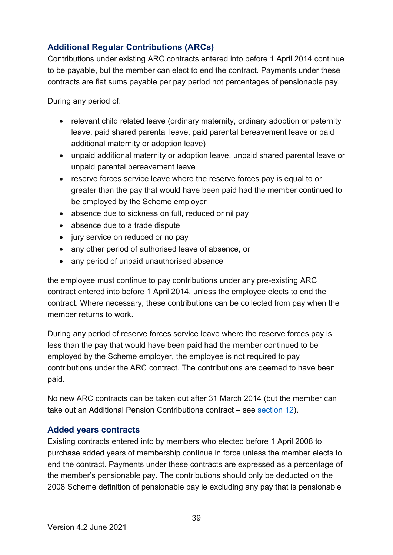#### <span id="page-38-0"></span>**Additional Regular Contributions (ARCs)**

Contributions under existing ARC contracts entered into before 1 April 2014 continue to be payable, but the member can elect to end the contract. Payments under these contracts are flat sums payable per pay period not percentages of pensionable pay.

During any period of:

- relevant child related leave (ordinary maternity, ordinary adoption or paternity leave, paid shared parental leave, paid parental bereavement leave or paid additional maternity or adoption leave)
- unpaid additional maternity or adoption leave, unpaid shared parental leave or unpaid parental bereavement leave
- reserve forces service leave where the reserve forces pay is equal to or greater than the pay that would have been paid had the member continued to be employed by the Scheme employer
- absence due to sickness on full, reduced or nil pay
- absence due to a trade dispute
- jury service on reduced or no pay
- any other period of authorised leave of absence, or
- any period of unpaid unauthorised absence

the employee must continue to pay contributions under any pre-existing ARC contract entered into before 1 April 2014, unless the employee elects to end the contract. Where necessary, these contributions can be collected from pay when the member returns to work.

During any period of reserve forces service leave where the reserve forces pay is less than the pay that would have been paid had the member continued to be employed by the Scheme employer, the employee is not required to pay contributions under the ARC contract. The contributions are deemed to have been paid.

No new ARC contracts can be taken out after 31 March 2014 (but the member can take out an Additional Pension Contributions contract – see [section 12\)](#page-30-0).

#### <span id="page-38-1"></span>**Added years contracts**

Existing contracts entered into by members who elected before 1 April 2008 to purchase added years of membership continue in force unless the member elects to end the contract. Payments under these contracts are expressed as a percentage of the member's pensionable pay. The contributions should only be deducted on the 2008 Scheme definition of pensionable pay ie excluding any pay that is pensionable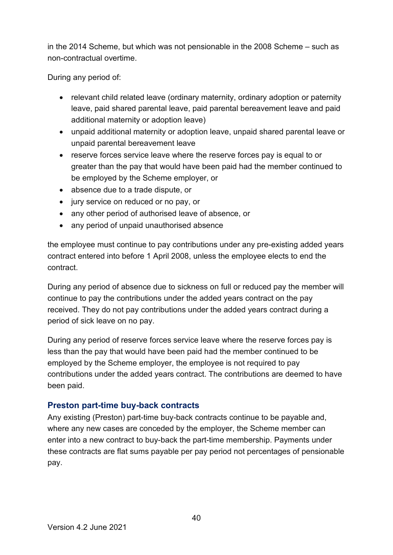in the 2014 Scheme, but which was not pensionable in the 2008 Scheme – such as non-contractual overtime.

During any period of:

- relevant child related leave (ordinary maternity, ordinary adoption or paternity leave, paid shared parental leave, paid parental bereavement leave and paid additional maternity or adoption leave)
- unpaid additional maternity or adoption leave, unpaid shared parental leave or unpaid parental bereavement leave
- reserve forces service leave where the reserve forces pay is equal to or greater than the pay that would have been paid had the member continued to be employed by the Scheme employer, or
- absence due to a trade dispute, or
- jury service on reduced or no pay, or
- any other period of authorised leave of absence, or
- any period of unpaid unauthorised absence

the employee must continue to pay contributions under any pre-existing added years contract entered into before 1 April 2008, unless the employee elects to end the contract.

During any period of absence due to sickness on full or reduced pay the member will continue to pay the contributions under the added years contract on the pay received. They do not pay contributions under the added years contract during a period of sick leave on no pay.

During any period of reserve forces service leave where the reserve forces pay is less than the pay that would have been paid had the member continued to be employed by the Scheme employer, the employee is not required to pay contributions under the added years contract. The contributions are deemed to have been paid.

#### <span id="page-39-0"></span>**Preston part-time buy-back contracts**

Any existing (Preston) part-time buy-back contracts continue to be payable and, where any new cases are conceded by the employer, the Scheme member can enter into a new contract to buy-back the part-time membership. Payments under these contracts are flat sums payable per pay period not percentages of pensionable pay.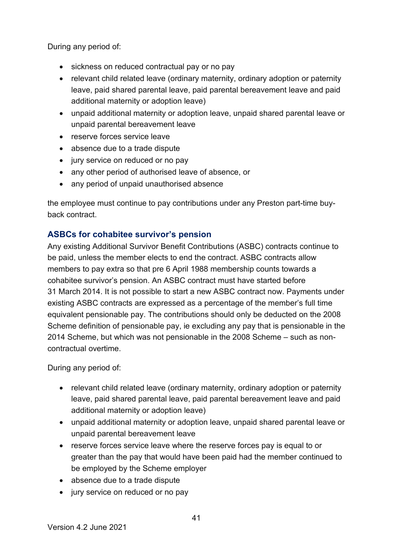During any period of:

- sickness on reduced contractual pay or no pay
- relevant child related leave (ordinary maternity, ordinary adoption or paternity leave, paid shared parental leave, paid parental bereavement leave and paid additional maternity or adoption leave)
- unpaid additional maternity or adoption leave, unpaid shared parental leave or unpaid parental bereavement leave
- reserve forces service leave
- absence due to a trade dispute
- jury service on reduced or no pay
- any other period of authorised leave of absence, or
- any period of unpaid unauthorised absence

the employee must continue to pay contributions under any Preston part-time buyback contract.

#### <span id="page-40-0"></span>**ASBCs for cohabitee survivor's pension**

Any existing Additional Survivor Benefit Contributions (ASBC) contracts continue to be paid, unless the member elects to end the contract. ASBC contracts allow members to pay extra so that pre 6 April 1988 membership counts towards a cohabitee survivor's pension. An ASBC contract must have started before 31 March 2014. It is not possible to start a new ASBC contract now. Payments under existing ASBC contracts are expressed as a percentage of the member's full time equivalent pensionable pay. The contributions should only be deducted on the 2008 Scheme definition of pensionable pay, ie excluding any pay that is pensionable in the 2014 Scheme, but which was not pensionable in the 2008 Scheme – such as noncontractual overtime.

During any period of:

- relevant child related leave (ordinary maternity, ordinary adoption or paternity leave, paid shared parental leave, paid parental bereavement leave and paid additional maternity or adoption leave)
- unpaid additional maternity or adoption leave, unpaid shared parental leave or unpaid parental bereavement leave
- reserve forces service leave where the reserve forces pay is equal to or greater than the pay that would have been paid had the member continued to be employed by the Scheme employer
- absence due to a trade dispute
- jury service on reduced or no pay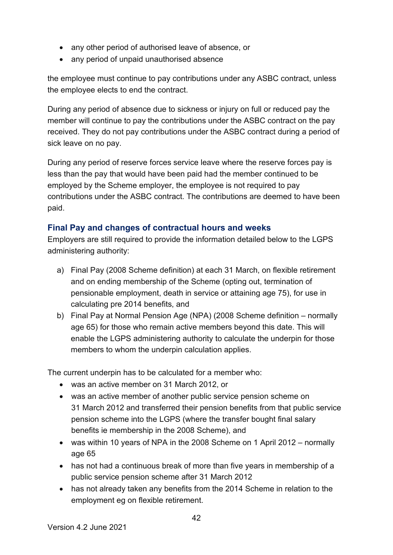- any other period of authorised leave of absence, or
- any period of unpaid unauthorised absence

the employee must continue to pay contributions under any ASBC contract, unless the employee elects to end the contract.

During any period of absence due to sickness or injury on full or reduced pay the member will continue to pay the contributions under the ASBC contract on the pay received. They do not pay contributions under the ASBC contract during a period of sick leave on no pay.

During any period of reserve forces service leave where the reserve forces pay is less than the pay that would have been paid had the member continued to be employed by the Scheme employer, the employee is not required to pay contributions under the ASBC contract. The contributions are deemed to have been paid.

#### <span id="page-41-0"></span>**Final Pay and changes of contractual hours and weeks**

Employers are still required to provide the information detailed below to the LGPS administering authority:

- a) Final Pay (2008 Scheme definition) at each 31 March, on flexible retirement and on ending membership of the Scheme (opting out, termination of pensionable employment, death in service or attaining age 75), for use in calculating pre 2014 benefits, and
- b) Final Pay at Normal Pension Age (NPA) (2008 Scheme definition normally age 65) for those who remain active members beyond this date. This will enable the LGPS administering authority to calculate the underpin for those members to whom the underpin calculation applies.

The current underpin has to be calculated for a member who:

- was an active member on 31 March 2012, or
- was an active member of another public service pension scheme on 31 March 2012 and transferred their pension benefits from that public service pension scheme into the LGPS (where the transfer bought final salary benefits ie membership in the 2008 Scheme), and
- was within 10 years of NPA in the 2008 Scheme on 1 April 2012 normally age 65
- has not had a continuous break of more than five years in membership of a public service pension scheme after 31 March 2012
- has not already taken any benefits from the 2014 Scheme in relation to the employment eg on flexible retirement.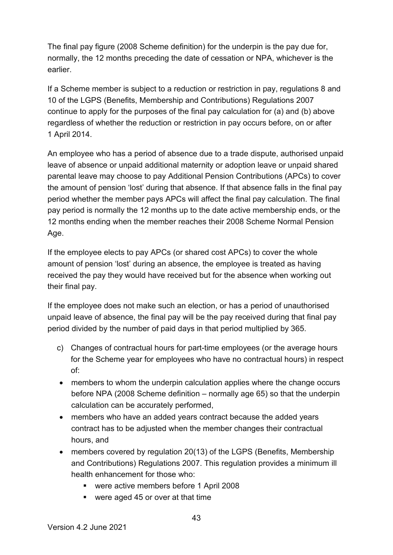The final pay figure (2008 Scheme definition) for the underpin is the pay due for, normally, the 12 months preceding the date of cessation or NPA, whichever is the earlier.

If a Scheme member is subject to a reduction or restriction in pay, regulations 8 and 10 of the LGPS (Benefits, Membership and Contributions) Regulations 2007 continue to apply for the purposes of the final pay calculation for (a) and (b) above regardless of whether the reduction or restriction in pay occurs before, on or after 1 April 2014.

An employee who has a period of absence due to a trade dispute, authorised unpaid leave of absence or unpaid additional maternity or adoption leave or unpaid shared parental leave may choose to pay Additional Pension Contributions (APCs) to cover the amount of pension 'lost' during that absence. If that absence falls in the final pay period whether the member pays APCs will affect the final pay calculation. The final pay period is normally the 12 months up to the date active membership ends, or the 12 months ending when the member reaches their 2008 Scheme Normal Pension Age.

If the employee elects to pay APCs (or shared cost APCs) to cover the whole amount of pension 'lost' during an absence, the employee is treated as having received the pay they would have received but for the absence when working out their final pay.

If the employee does not make such an election, or has a period of unauthorised unpaid leave of absence, the final pay will be the pay received during that final pay period divided by the number of paid days in that period multiplied by 365.

- c) Changes of contractual hours for part-time employees (or the average hours for the Scheme year for employees who have no contractual hours) in respect of:
- members to whom the underpin calculation applies where the change occurs before NPA (2008 Scheme definition – normally age 65) so that the underpin calculation can be accurately performed,
- members who have an added years contract because the added years contract has to be adjusted when the member changes their contractual hours, and
- members covered by regulation 20(13) of the LGPS (Benefits, Membership and Contributions) Regulations 2007. This regulation provides a minimum ill health enhancement for those who:
	- were active members before 1 April 2008
	- were aged 45 or over at that time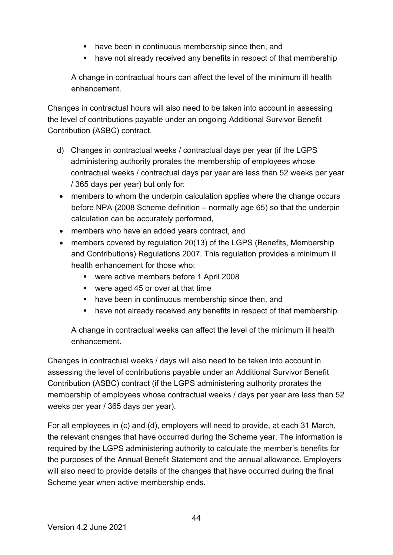- **•** have been in continuous membership since then, and
- have not already received any benefits in respect of that membership

A change in contractual hours can affect the level of the minimum ill health enhancement.

Changes in contractual hours will also need to be taken into account in assessing the level of contributions payable under an ongoing Additional Survivor Benefit Contribution (ASBC) contract.

- d) Changes in contractual weeks / contractual days per year (if the LGPS administering authority prorates the membership of employees whose contractual weeks / contractual days per year are less than 52 weeks per year / 365 days per year) but only for:
- members to whom the underpin calculation applies where the change occurs before NPA (2008 Scheme definition – normally age 65) so that the underpin calculation can be accurately performed,
- members who have an added years contract, and
- members covered by regulation 20(13) of the LGPS (Benefits, Membership and Contributions) Regulations 2007. This regulation provides a minimum ill health enhancement for those who:
	- were active members before 1 April 2008
	- were aged 45 or over at that time
	- **have been in continuous membership since then, and**
	- have not already received any benefits in respect of that membership.

A change in contractual weeks can affect the level of the minimum ill health enhancement.

Changes in contractual weeks / days will also need to be taken into account in assessing the level of contributions payable under an Additional Survivor Benefit Contribution (ASBC) contract (if the LGPS administering authority prorates the membership of employees whose contractual weeks / days per year are less than 52 weeks per year / 365 days per year).

For all employees in (c) and (d), employers will need to provide, at each 31 March, the relevant changes that have occurred during the Scheme year. The information is required by the LGPS administering authority to calculate the member's benefits for the purposes of the Annual Benefit Statement and the annual allowance. Employers will also need to provide details of the changes that have occurred during the final Scheme year when active membership ends.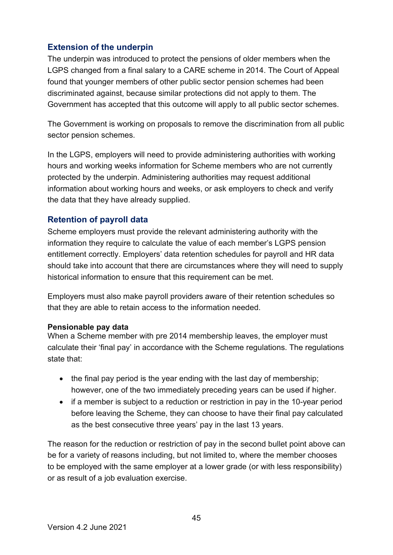#### <span id="page-44-0"></span>**Extension of the underpin**

The underpin was introduced to protect the pensions of older members when the LGPS changed from a final salary to a CARE scheme in 2014. The Court of Appeal found that younger members of other public sector pension schemes had been discriminated against, because similar protections did not apply to them. The Government has accepted that this outcome will apply to all public sector schemes.

The Government is working on proposals to remove the discrimination from all public sector pension schemes.

In the LGPS, employers will need to provide administering authorities with working hours and working weeks information for Scheme members who are not currently protected by the underpin. Administering authorities may request additional information about working hours and weeks, or ask employers to check and verify the data that they have already supplied.

#### <span id="page-44-1"></span>**Retention of payroll data**

Scheme employers must provide the relevant administering authority with the information they require to calculate the value of each member's LGPS pension entitlement correctly. Employers' data retention schedules for payroll and HR data should take into account that there are circumstances where they will need to supply historical information to ensure that this requirement can be met.

Employers must also make payroll providers aware of their retention schedules so that they are able to retain access to the information needed.

#### **Pensionable pay data**

When a Scheme member with pre 2014 membership leaves, the employer must calculate their 'final pay' in accordance with the Scheme regulations. The regulations state that:

- the final pay period is the year ending with the last day of membership; however, one of the two immediately preceding years can be used if higher.
- if a member is subject to a reduction or restriction in pay in the 10-year period before leaving the Scheme, they can choose to have their final pay calculated as the best consecutive three years' pay in the last 13 years.

The reason for the reduction or restriction of pay in the second bullet point above can be for a variety of reasons including, but not limited to, where the member chooses to be employed with the same employer at a lower grade (or with less responsibility) or as result of a job evaluation exercise.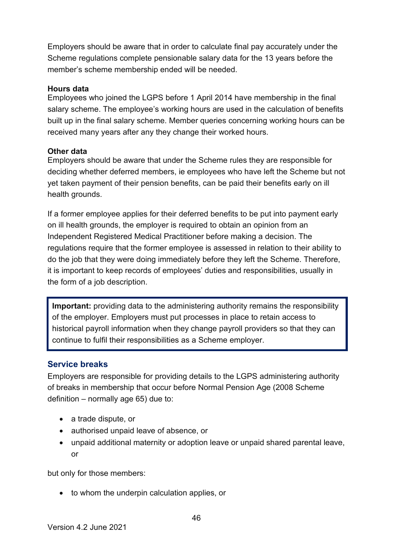Employers should be aware that in order to calculate final pay accurately under the Scheme regulations complete pensionable salary data for the 13 years before the member's scheme membership ended will be needed.

#### **Hours data**

Employees who joined the LGPS before 1 April 2014 have membership in the final salary scheme. The employee's working hours are used in the calculation of benefits built up in the final salary scheme. Member queries concerning working hours can be received many years after any they change their worked hours.

#### **Other data**

Employers should be aware that under the Scheme rules they are responsible for deciding whether deferred members, ie employees who have left the Scheme but not yet taken payment of their pension benefits, can be paid their benefits early on ill health grounds.

If a former employee applies for their deferred benefits to be put into payment early on ill health grounds, the employer is required to obtain an opinion from an Independent Registered Medical Practitioner before making a decision. The regulations require that the former employee is assessed in relation to their ability to do the job that they were doing immediately before they left the Scheme. Therefore, it is important to keep records of employees' duties and responsibilities, usually in the form of a job description.

**Important:** providing data to the administering authority remains the responsibility of the employer. Employers must put processes in place to retain access to historical payroll information when they change payroll providers so that they can continue to fulfil their responsibilities as a Scheme employer.

#### <span id="page-45-0"></span>**Service breaks**

Employers are responsible for providing details to the LGPS administering authority of breaks in membership that occur before Normal Pension Age (2008 Scheme definition – normally age 65) due to:

- a trade dispute, or
- authorised unpaid leave of absence, or
- unpaid additional maternity or adoption leave or unpaid shared parental leave, or

but only for those members:

• to whom the underpin calculation applies, or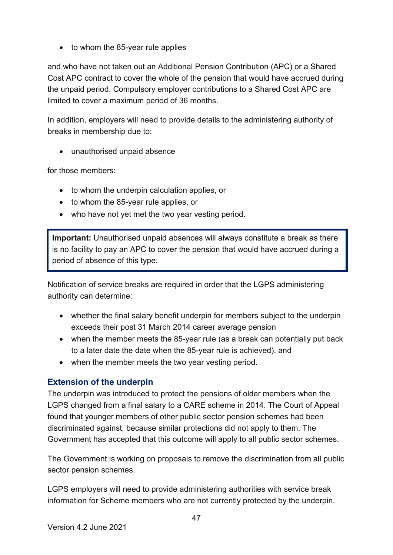• to whom the 85-year rule applies

and who have not taken out an Additional Pension Contribution (APC) or a Shared Cost APC contract to cover the whole of the pension that would have accrued during the unpaid period. Compulsory employer contributions to a Shared Cost APC are limited to cover a maximum period of 36 months.

In addition, employers will need to provide details to the administering authority of breaks in membership due to:

• unauthorised unpaid absence

for those members:

- to whom the underpin calculation applies, or
- to whom the 85-year rule applies, or
- who have not yet met the two year vesting period.

**Important:** Unauthorised unpaid absences will always constitute a break as there is no facility to pay an APC to cover the pension that would have accrued during a period of absence of this type.

Notification of service breaks are required in order that the LGPS administering authority can determine:

- whether the final salary benefit underpin for members subject to the underpin exceeds their post 31 March 2014 career average pension
- when the member meets the 85-year rule (as a break can potentially put back to a later date the date when the 85-year rule is achieved), and
- when the member meets the two year vesting period.

#### <span id="page-46-0"></span>**Extension of the underpin**

The underpin was introduced to protect the pensions of older members when the LGPS changed from a final salary to a CARE scheme in 2014. The Court of Appeal found that younger members of other public sector pension schemes had been discriminated against, because similar protections did not apply to them. The Government has accepted that this outcome will apply to all public sector schemes.

The Government is working on proposals to remove the discrimination from all public sector pension schemes.

LGPS employers will need to provide administering authorities with service break information for Scheme members who are not currently protected by the underpin.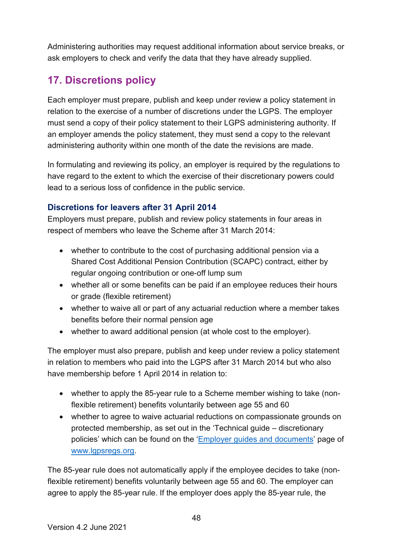Administering authorities may request additional information about service breaks, or ask employers to check and verify the data that they have already supplied.

# <span id="page-47-0"></span>**17. Discretions policy**

Each employer must prepare, publish and keep under review a policy statement in relation to the exercise of a number of discretions under the LGPS. The employer must send a copy of their policy statement to their LGPS administering authority. If an employer amends the policy statement, they must send a copy to the relevant administering authority within one month of the date the revisions are made.

In formulating and reviewing its policy, an employer is required by the regulations to have regard to the extent to which the exercise of their discretionary powers could lead to a serious loss of confidence in the public service.

#### <span id="page-47-1"></span>**Discretions for leavers after 31 April 2014**

Employers must prepare, publish and review policy statements in four areas in respect of members who leave the Scheme after 31 March 2014:

- whether to contribute to the cost of purchasing additional pension via a Shared Cost Additional Pension Contribution (SCAPC) contract, either by regular ongoing contribution or one-off lump sum
- whether all or some benefits can be paid if an employee reduces their hours or grade (flexible retirement)
- whether to waive all or part of any actuarial reduction where a member takes benefits before their normal pension age
- whether to award additional pension (at whole cost to the employer).

The employer must also prepare, publish and keep under review a policy statement in relation to members who paid into the LGPS after 31 March 2014 but who also have membership before 1 April 2014 in relation to:

- whether to apply the 85-year rule to a Scheme member wishing to take (nonflexible retirement) benefits voluntarily between age 55 and 60
- whether to agree to waive actuarial reductions on compassionate grounds on protected membership, as set out in the 'Technical guide – discretionary policies' which can be found on the ['Employer guides and documents'](https://www.lgpsregs.org/employer-resources/guidesetc.php) page of [www.lgpsregs.org.](http://www.lgpsregs.org/)

The 85-year rule does not automatically apply if the employee decides to take (nonflexible retirement) benefits voluntarily between age 55 and 60. The employer can agree to apply the 85-year rule. If the employer does apply the 85-year rule, the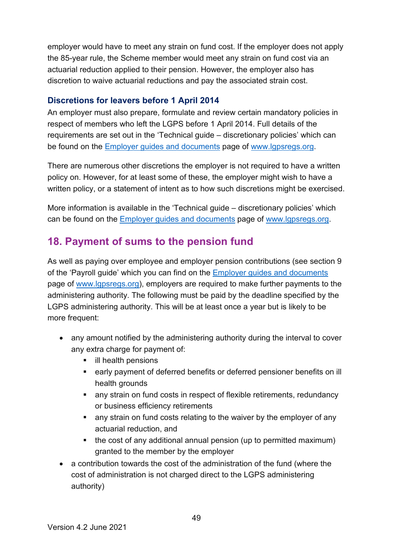employer would have to meet any strain on fund cost. If the employer does not apply the 85-year rule, the Scheme member would meet any strain on fund cost via an actuarial reduction applied to their pension. However, the employer also has discretion to waive actuarial reductions and pay the associated strain cost.

#### <span id="page-48-0"></span>**Discretions for leavers before 1 April 2014**

An employer must also prepare, formulate and review certain mandatory policies in respect of members who left the LGPS before 1 April 2014. Full details of the requirements are set out in the 'Technical guide – discretionary policies' which can be found on the Employer guides and documents page of [www.lgpsregs.org.](http://www.lgpsregs.org/)

There are numerous other discretions the employer is not required to have a written policy on. However, for at least some of these, the employer might wish to have a written policy, or a statement of intent as to how such discretions might be exercised.

More information is available in the 'Technical guide – discretionary policies' which can be found on the Employer guides and documents page of [www.lgpsregs.org.](http://www.lgpsregs.org/)

### <span id="page-48-1"></span>**18. Payment of sums to the pension fund**

As well as paying over employee and employer pension contributions (see section 9 of the 'Payroll guide' which you can find on the Employer guides and documents page of [www.lgpsregs.org\)](http://www.lgpsregs.org/), employers are required to make further payments to the administering authority. The following must be paid by the deadline specified by the LGPS administering authority. This will be at least once a year but is likely to be more frequent:

- any amount notified by the administering authority during the interval to cover any extra charge for payment of:
	- **I** ill health pensions
	- early payment of deferred benefits or deferred pensioner benefits on ill health grounds
	- any strain on fund costs in respect of flexible retirements, redundancy or business efficiency retirements
	- any strain on fund costs relating to the waiver by the employer of any actuarial reduction, and
	- the cost of any additional annual pension (up to permitted maximum) granted to the member by the employer
- a contribution towards the cost of the administration of the fund (where the cost of administration is not charged direct to the LGPS administering authority)